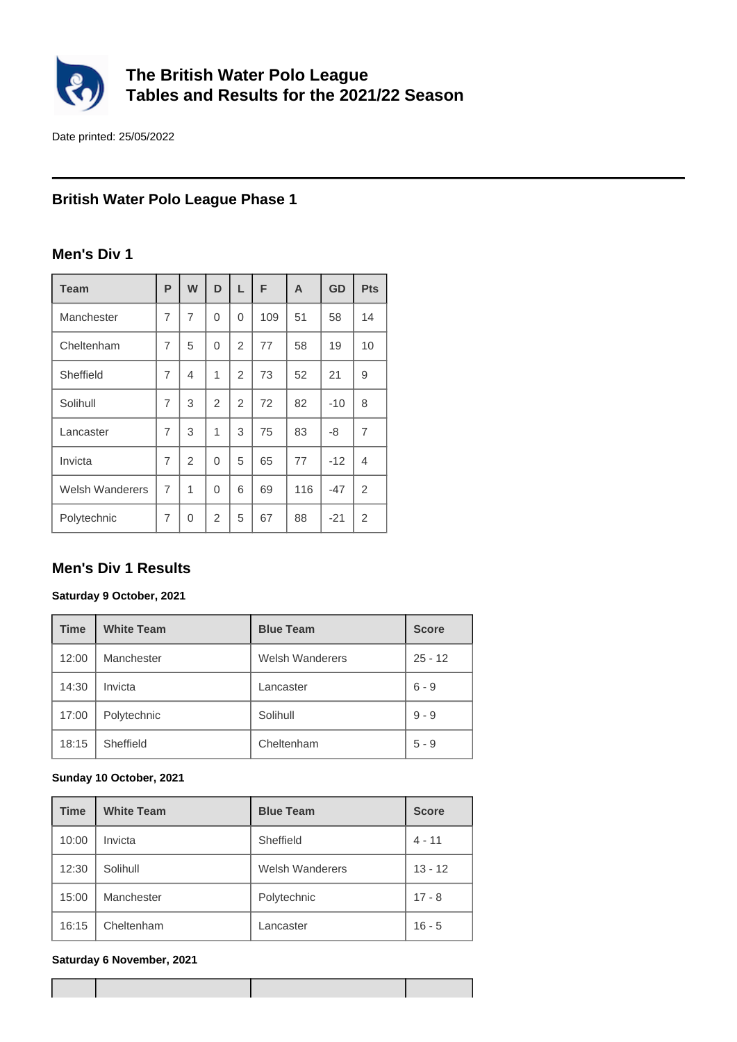

# **The British Water Polo League Tables and Results for the 2021/22 Season**

Date printed: 25/05/2022

# **British Water Polo League Phase 1**

### **Men's Div 1**

| <b>Team</b>            | P | W              | D              | L              | F   | A   | <b>GD</b> | <b>Pts</b>     |
|------------------------|---|----------------|----------------|----------------|-----|-----|-----------|----------------|
| Manchester             | 7 | $\overline{7}$ | $\Omega$       | 0              | 109 | 51  | 58        | 14             |
| Cheltenham             | 7 | 5              | $\Omega$       | $\overline{2}$ | 77  | 58  | 19        | 10             |
| Sheffield              | 7 | 4              | $\mathbf 1$    | $\overline{2}$ | 73  | 52  | 21        | 9              |
| Solihull               | 7 | 3              | $\overline{2}$ | $\overline{2}$ | 72  | 82  | $-10$     | 8              |
| Lancaster              | 7 | 3              | 1              | 3              | 75  | 83  | -8        | $\overline{7}$ |
| Invicta                | 7 | $\overline{2}$ | $\Omega$       | 5              | 65  | 77  | $-12$     | 4              |
| <b>Welsh Wanderers</b> | 7 | 1              | 0              | 6              | 69  | 116 | $-47$     | $\overline{2}$ |
| Polytechnic            | 7 | 0              | $\overline{2}$ | 5              | 67  | 88  | $-21$     | 2              |

# **Men's Div 1 Results**

#### **Saturday 9 October, 2021**

| <b>Time</b> | <b>White Team</b> | <b>Blue Team</b>       | <b>Score</b> |
|-------------|-------------------|------------------------|--------------|
| 12:00       | Manchester        | <b>Welsh Wanderers</b> | $25 - 12$    |
| 14:30       | Invicta           | Lancaster              | $6 - 9$      |
| 17:00       | Polytechnic       | Solihull               | $9 - 9$      |
| 18:15       | Sheffield         | Cheltenham             | $5 - 9$      |

#### **Sunday 10 October, 2021**

| <b>Time</b> | <b>White Team</b> | <b>Blue Team</b>       | <b>Score</b> |
|-------------|-------------------|------------------------|--------------|
| 10:00       | Invicta           | Sheffield              | $4 - 11$     |
| 12:30       | Solihull          | <b>Welsh Wanderers</b> | $13 - 12$    |
| 15:00       | Manchester        | Polytechnic            | $17 - 8$     |
| 16:15       | Cheltenham        | Lancaster              | $16 - 5$     |

#### **Saturday 6 November, 2021**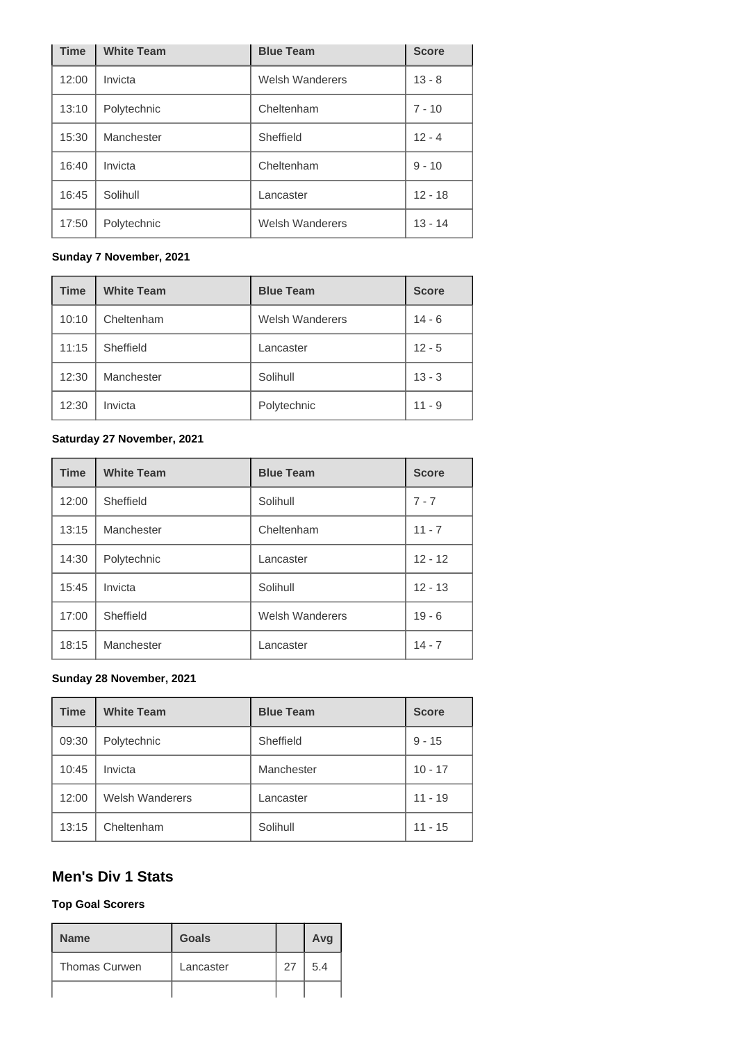| <b>Time</b> | <b>White Team</b> | <b>Blue Team</b>       | <b>Score</b> |
|-------------|-------------------|------------------------|--------------|
| 12:00       | Invicta           | <b>Welsh Wanderers</b> | $13 - 8$     |
| 13:10       | Polytechnic       | Cheltenham             | $7 - 10$     |
| 15:30       | Manchester        | Sheffield              | $12 - 4$     |
| 16:40       | Invicta           | Cheltenham             | $9 - 10$     |
| 16:45       | Solihull          | Lancaster              | $12 - 18$    |
| 17:50       | Polytechnic       | <b>Welsh Wanderers</b> | $13 - 14$    |

### **Sunday 7 November, 2021**

| <b>Time</b> | <b>White Team</b> | <b>Blue Team</b>       | <b>Score</b> |
|-------------|-------------------|------------------------|--------------|
| 10:10       | Cheltenham        | <b>Welsh Wanderers</b> | $14 - 6$     |
| 11:15       | Sheffield         | Lancaster              | $12 - 5$     |
| 12:30       | Manchester        | Solihull               | $13 - 3$     |
| 12:30       | Invicta           | Polytechnic            | $11 - 9$     |

#### **Saturday 27 November, 2021**

| <b>Time</b> | <b>White Team</b> | <b>Blue Team</b>       | <b>Score</b> |
|-------------|-------------------|------------------------|--------------|
| 12:00       | Sheffield         | Solihull               | $7 - 7$      |
| 13:15       | Manchester        | Cheltenham             | $11 - 7$     |
| 14:30       | Polytechnic       | Lancaster              | $12 - 12$    |
| 15:45       | Invicta           | Solihull               | $12 - 13$    |
| 17:00       | Sheffield         | <b>Welsh Wanderers</b> | $19 - 6$     |
| 18:15       | Manchester        | Lancaster              | $14 - 7$     |

#### **Sunday 28 November, 2021**

| <b>Time</b> | <b>White Team</b>      | <b>Blue Team</b> | <b>Score</b> |
|-------------|------------------------|------------------|--------------|
| 09:30       | Polytechnic            | Sheffield        | $9 - 15$     |
| 10:45       | Invicta                | Manchester       | $10 - 17$    |
| 12:00       | <b>Welsh Wanderers</b> | Lancaster        | $11 - 19$    |
| 13:15       | Cheltenham             | Solihull         | $11 - 15$    |

# **Men's Div 1 Stats**

#### **Top Goal Scorers**

| <b>Name</b>          | <b>Goals</b> |    | Avg |
|----------------------|--------------|----|-----|
| <b>Thomas Curwen</b> | Lancaster    | 27 | 5.4 |
|                      |              |    |     |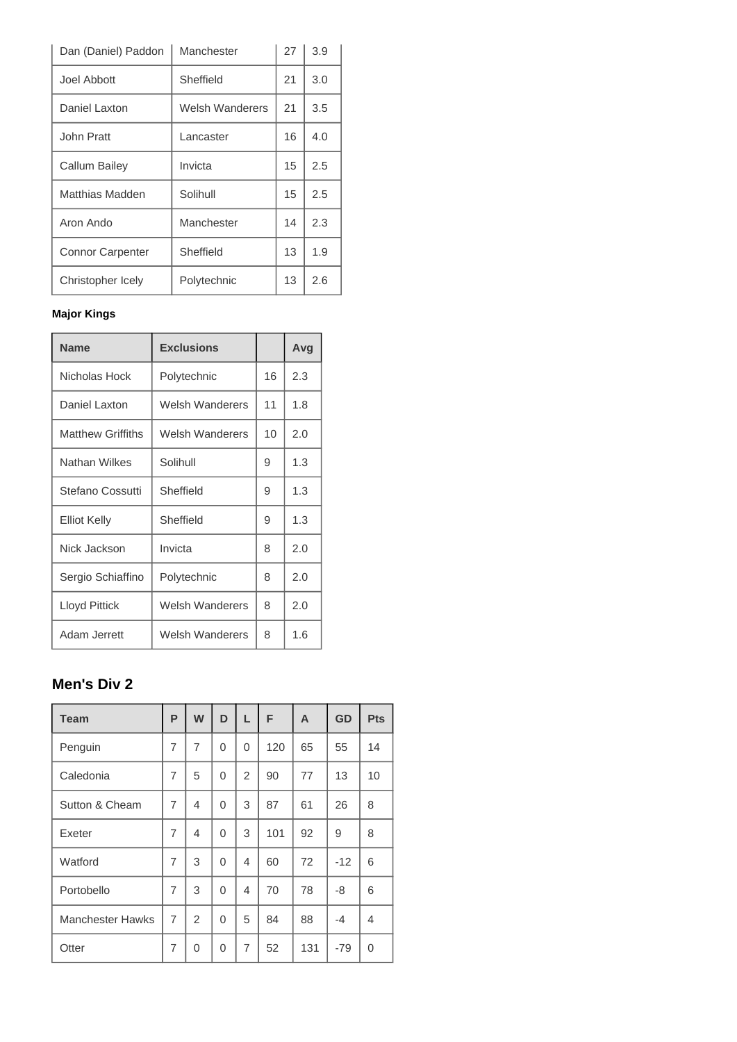| Dan (Daniel) Paddon     | Manchester      | 27 | 3.9 |
|-------------------------|-----------------|----|-----|
| Joel Abbott             | Sheffield       | 21 | 3.0 |
| Daniel Laxton           | Welsh Wanderers | 21 | 3.5 |
| John Pratt              | Lancaster       | 16 | 4.0 |
| Callum Bailey           | Invicta         | 15 | 2.5 |
| Matthias Madden         | Solihull        | 15 | 2.5 |
| Aron Ando               | Manchester      | 14 | 2.3 |
| <b>Connor Carpenter</b> | Sheffield       | 13 | 1.9 |
| Christopher Icely       | Polytechnic     | 13 | 2.6 |

### **Major Kings**

| <b>Name</b>              | <b>Exclusions</b> |    | Avg |
|--------------------------|-------------------|----|-----|
| Nicholas Hock            | Polytechnic       | 16 | 2.3 |
| Daniel Laxton            | Welsh Wanderers   | 11 | 1.8 |
| <b>Matthew Griffiths</b> | Welsh Wanderers   | 10 | 2.0 |
| Nathan Wilkes            | Solihull          | 9  | 1.3 |
| Stefano Cossutti         | Sheffield         | 9  | 1.3 |
| <b>Elliot Kelly</b>      | Sheffield         | 9  | 1.3 |
| Nick Jackson             | Invicta           | 8  | 2.0 |
| Sergio Schiaffino        | Polytechnic       | 8  | 2.0 |
| Lloyd Pittick            | Welsh Wanderers   | 8  | 2.0 |
| Adam Jerrett             | Welsh Wanderers   | 8  | 1.6 |

# **Men's Div 2**

| <b>Team</b>             | P              | W              | D              | L              | F   | A   | GD    | <b>Pts</b> |
|-------------------------|----------------|----------------|----------------|----------------|-----|-----|-------|------------|
| Penguin                 | $\overline{7}$ | $\overline{7}$ | $\Omega$       | $\Omega$       | 120 | 65  | 55    | 14         |
| Caledonia               | $\overline{7}$ | 5              | $\Omega$       | $\overline{2}$ | 90  | 77  | 13    | 10         |
| Sutton & Cheam          | 7              | 4              | $\overline{0}$ | 3              | 87  | 61  | 26    | 8          |
| Exeter                  | $\overline{7}$ | 4              | $\Omega$       | 3              | 101 | 92  | 9     | 8          |
| Watford                 | $\overline{7}$ | 3              | $\overline{0}$ | 4              | 60  | 72  | $-12$ | 6          |
| Portobello              | $\overline{7}$ | 3              | $\Omega$       | $\overline{4}$ | 70  | 78  | -8    | 6          |
| <b>Manchester Hawks</b> | $\overline{7}$ | 2              | $\Omega$       | 5              | 84  | 88  | -4    | 4          |
| Otter                   | $\overline{7}$ | $\Omega$       | 0              | $\overline{7}$ | 52  | 131 | $-79$ | 0          |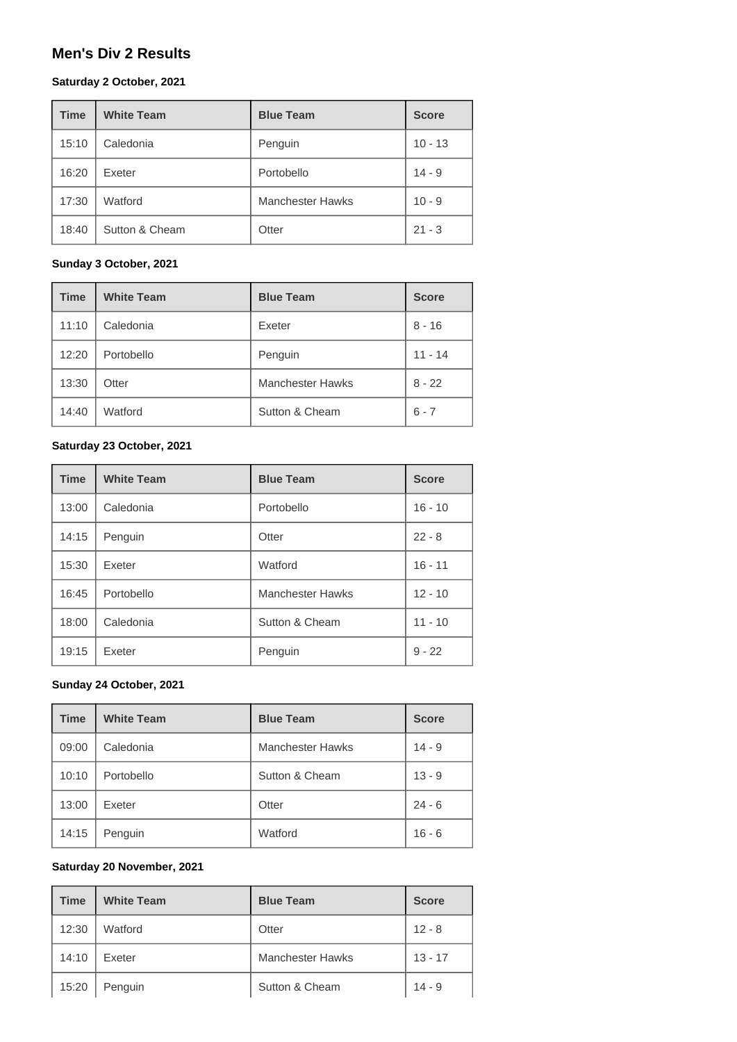### **Men's Div 2 Results**

#### **Saturday 2 October, 2021**

| <b>Time</b> | <b>White Team</b> | <b>Blue Team</b>        | <b>Score</b> |
|-------------|-------------------|-------------------------|--------------|
| 15:10       | Caledonia         | Penguin                 | $10 - 13$    |
| 16:20       | Exeter            | Portobello              | $14 - 9$     |
| 17:30       | Watford           | <b>Manchester Hawks</b> | $10 - 9$     |
| 18:40       | Sutton & Cheam    | Otter                   | $21 - 3$     |

#### **Sunday 3 October, 2021**

| <b>Time</b> | <b>White Team</b> | <b>Blue Team</b>        | <b>Score</b> |
|-------------|-------------------|-------------------------|--------------|
| 11:10       | Caledonia         | Exeter                  | $8 - 16$     |
| 12:20       | Portobello        | Penguin                 | $11 - 14$    |
| 13:30       | Otter             | <b>Manchester Hawks</b> | $8 - 22$     |
| 14:40       | Watford           | Sutton & Cheam          | $6 - 7$      |

#### **Saturday 23 October, 2021**

| <b>Time</b> | <b>White Team</b> | <b>Blue Team</b>        | <b>Score</b> |  |
|-------------|-------------------|-------------------------|--------------|--|
| 13:00       | Caledonia         | Portobello              | $16 - 10$    |  |
| 14:15       | Penguin           | Otter                   | $22 - 8$     |  |
| 15:30       | Exeter            | Watford                 | $16 - 11$    |  |
| 16:45       | Portobello        | <b>Manchester Hawks</b> | $12 - 10$    |  |
| 18:00       | Caledonia         | Sutton & Cheam          | $11 - 10$    |  |
| 19:15       | Exeter            | Penguin                 | $9 - 22$     |  |

#### **Sunday 24 October, 2021**

| <b>Time</b> | <b>White Team</b> | <b>Blue Team</b>        | <b>Score</b> |
|-------------|-------------------|-------------------------|--------------|
| 09:00       | Caledonia         | <b>Manchester Hawks</b> | $14 - 9$     |
| 10:10       | Portobello        | Sutton & Cheam          | $13 - 9$     |
| 13:00       | Exeter            | Otter                   | $24 - 6$     |
| 14:15       | Penguin           | Watford                 | $16 - 6$     |

#### **Saturday 20 November, 2021**

| <b>Time</b> | <b>White Team</b><br><b>Blue Team</b> |                         | <b>Score</b> |
|-------------|---------------------------------------|-------------------------|--------------|
| 12:30       | Watford                               | Otter                   | $12 - 8$     |
| 14:10       | Exeter                                | <b>Manchester Hawks</b> | $13 - 17$    |
| 15:20       | Penguin                               | Sutton & Cheam          | $14 - 9$     |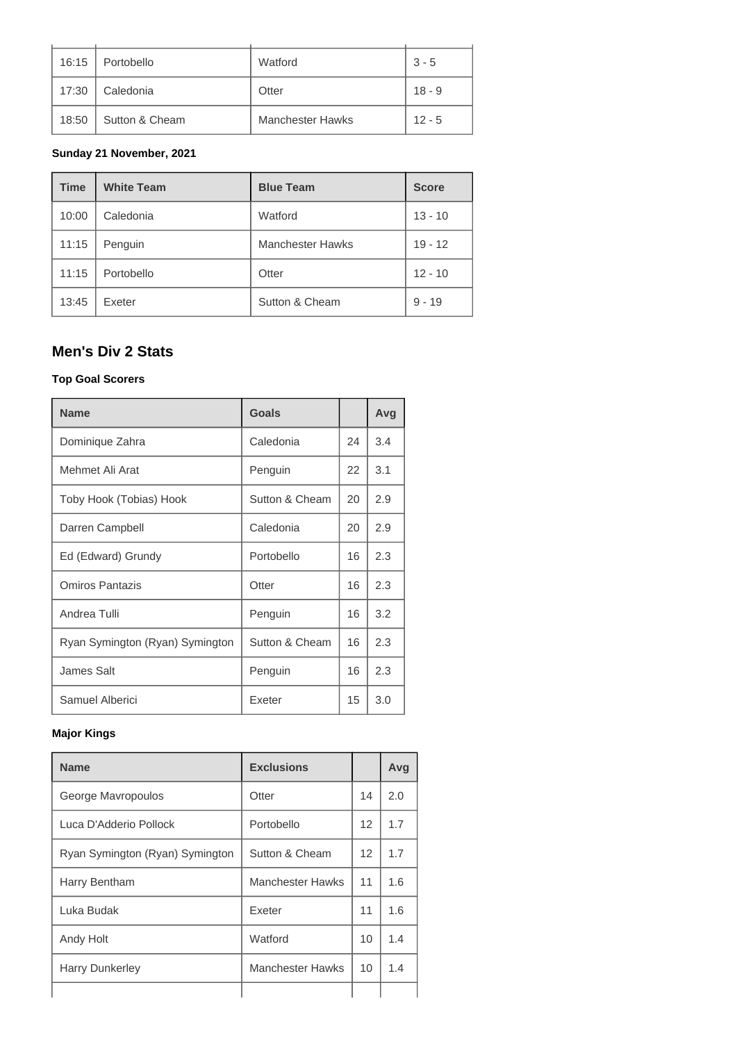| 16:15 | Portobello     | Watford                 | $3 - 5$  |
|-------|----------------|-------------------------|----------|
| 17:30 | Caledonia      | Otter                   | $18 - 9$ |
| 18:50 | Sutton & Cheam | <b>Manchester Hawks</b> | $12 - 5$ |

#### **Sunday 21 November, 2021**

| <b>Time</b> | <b>White Team</b> | <b>Blue Team</b>        | <b>Score</b> |
|-------------|-------------------|-------------------------|--------------|
| 10:00       | Caledonia         | Watford                 | $13 - 10$    |
| 11:15       | Penguin           | <b>Manchester Hawks</b> | $19 - 12$    |
| 11:15       | Portobello        | Otter                   | $12 - 10$    |
| 13:45       | Exeter            | Sutton & Cheam          | $9 - 19$     |

# **Men's Div 2 Stats**

#### **Top Goal Scorers**

| <b>Name</b>                     | Goals          |    | Avg |
|---------------------------------|----------------|----|-----|
| Dominique Zahra                 | Caledonia      | 24 | 3.4 |
| Mehmet Ali Arat                 | Penguin        | 22 | 3.1 |
| Toby Hook (Tobias) Hook         | Sutton & Cheam | 20 | 2.9 |
| Darren Campbell                 | Caledonia      | 20 | 2.9 |
| Ed (Edward) Grundy              | Portobello     | 16 | 2.3 |
| Omiros Pantazis                 | Otter          | 16 | 2.3 |
| Andrea Tulli                    | Penguin        | 16 | 3.2 |
| Ryan Symington (Ryan) Symington | Sutton & Cheam | 16 | 2.3 |
| James Salt                      | Penguin        | 16 | 2.3 |
| Samuel Alberici                 | Exeter         | 15 | 3.0 |

### **Major Kings**

| <b>Name</b>                     | <b>Exclusions</b> |                 | Avg |
|---------------------------------|-------------------|-----------------|-----|
| George Mavropoulos              | Otter             | 14              | 2.0 |
| Luca D'Adderio Pollock          | Portobello        | 12              | 1.7 |
| Ryan Symington (Ryan) Symington | Sutton & Cheam    | 12 <sup>2</sup> | 1.7 |
| Harry Bentham                   | Manchester Hawks  | 11              | 1.6 |
| Luka Budak                      | Exeter            | 11              | 1.6 |
| Andy Holt                       | Watford           | 10              | 1.4 |
| Harry Dunkerley                 | Manchester Hawks  | 10              | 1.4 |
|                                 |                   |                 |     |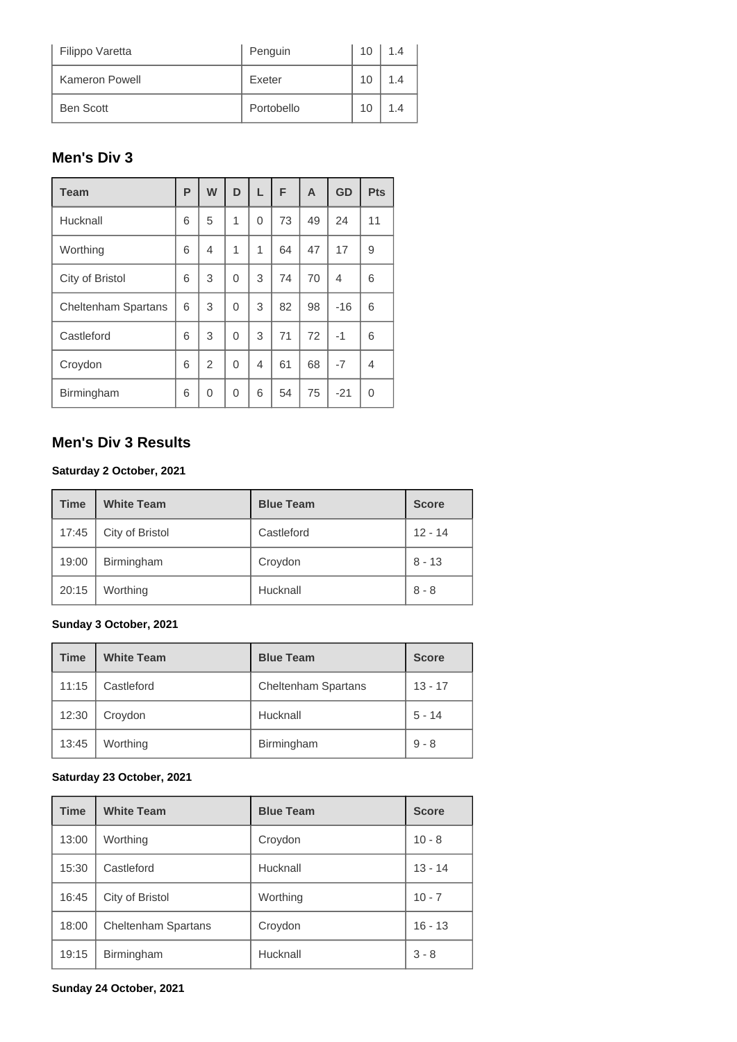| Filippo Varetta  | Penguin    | 10 | 1.4 |
|------------------|------------|----|-----|
| Kameron Powell   | Exeter     | 10 | 14  |
| <b>Ben Scott</b> | Portobello | 10 | 1.4 |

# **Men's Div 3**

| <b>Team</b>                | P | W              | D        | L              | F  | A  | GD    | <b>Pts</b> |
|----------------------------|---|----------------|----------|----------------|----|----|-------|------------|
| Hucknall                   | 6 | 5              | 1        | $\Omega$       | 73 | 49 | 24    | 11         |
| Worthing                   | 6 | $\overline{4}$ | 1        | 1              | 64 | 47 | 17    | 9          |
| City of Bristol            | 6 | 3              | 0        | 3              | 74 | 70 | 4     | 6          |
| <b>Cheltenham Spartans</b> | 6 | 3              | $\Omega$ | 3              | 82 | 98 | $-16$ | 6          |
| Castleford                 | 6 | 3              | 0        | 3              | 71 | 72 | -1    | 6          |
| Croydon                    | 6 | $\overline{2}$ | $\Omega$ | $\overline{4}$ | 61 | 68 | $-7$  | 4          |
| Birmingham                 | 6 | 0              | 0        | 6              | 54 | 75 | $-21$ | 0          |

# **Men's Div 3 Results**

#### **Saturday 2 October, 2021**

| <b>Time</b> | <b>White Team</b> | <b>Blue Team</b> | <b>Score</b> |
|-------------|-------------------|------------------|--------------|
| 17:45       | City of Bristol   | Castleford       | $12 - 14$    |
| 19:00       | Birmingham        | Croydon          | $8 - 13$     |
| 20:15       | Worthing          | Hucknall         | $8 - 8$      |

### **Sunday 3 October, 2021**

| <b>Time</b> | <b>White Team</b> | <b>Blue Team</b>           | <b>Score</b> |
|-------------|-------------------|----------------------------|--------------|
| 11:15       | Castleford        | <b>Cheltenham Spartans</b> | $13 - 17$    |
| 12:30       | Croydon           | Hucknall                   | $5 - 14$     |
| 13:45       | Worthing          | Birmingham                 | $9 - 8$      |

### **Saturday 23 October, 2021**

| <b>Time</b> | <b>White Team</b>          | <b>Blue Team</b> | <b>Score</b> |
|-------------|----------------------------|------------------|--------------|
| 13:00       | Worthing                   | Croydon          | $10 - 8$     |
| 15:30       | Castleford                 | Hucknall         | $13 - 14$    |
| 16:45       | City of Bristol            | Worthing         | $10 - 7$     |
| 18:00       | <b>Cheltenham Spartans</b> | Croydon          | $16 - 13$    |
| 19:15       | Birmingham                 | Hucknall         | $3 - 8$      |

#### **Sunday 24 October, 2021**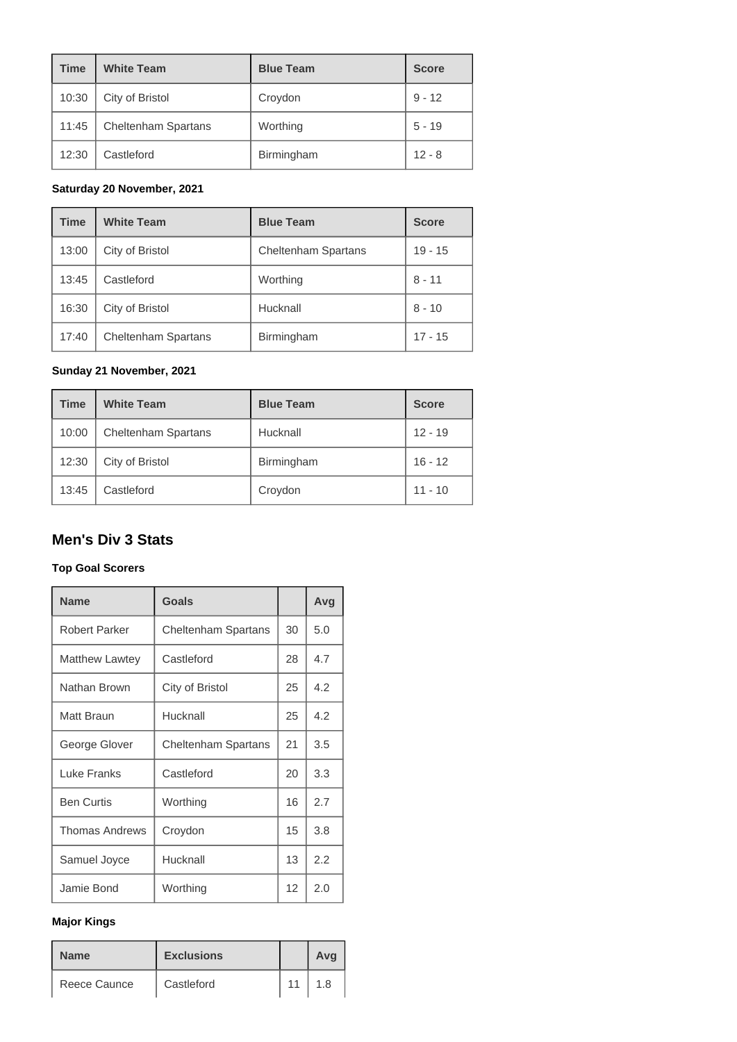| <b>Time</b> | <b>White Team</b>          | <b>Blue Team</b> | <b>Score</b> |
|-------------|----------------------------|------------------|--------------|
| 10:30       | City of Bristol            | Croydon          | $9 - 12$     |
| 11:45       | <b>Cheltenham Spartans</b> | Worthing         | $5 - 19$     |
| 12:30       | Castleford                 | Birmingham       | $12 - 8$     |

#### **Saturday 20 November, 2021**

| <b>Time</b> | <b>White Team</b>          | <b>Blue Team</b>           | <b>Score</b> |
|-------------|----------------------------|----------------------------|--------------|
| 13:00       | City of Bristol            | <b>Cheltenham Spartans</b> | $19 - 15$    |
| 13:45       | Castleford                 | Worthing                   | $8 - 11$     |
| 16:30       | City of Bristol            | Hucknall                   | $8 - 10$     |
| 17:40       | <b>Cheltenham Spartans</b> | Birmingham                 | $17 - 15$    |

#### **Sunday 21 November, 2021**

| <b>Time</b> | <b>White Team</b>          | <b>Blue Team</b> | <b>Score</b> |
|-------------|----------------------------|------------------|--------------|
| 10:00       | <b>Cheltenham Spartans</b> | Hucknall         | $12 - 19$    |
| 12:30       | City of Bristol            | Birmingham       | $16 - 12$    |
| 13:45       | Castleford                 | Croydon          | $11 - 10$    |

# **Men's Div 3 Stats**

#### **Top Goal Scorers**

| <b>Name</b>           | Goals                      |    | Avg |
|-----------------------|----------------------------|----|-----|
| Robert Parker         | <b>Cheltenham Spartans</b> | 30 | 5.0 |
| <b>Matthew Lawtey</b> | Castleford                 | 28 | 4.7 |
| Nathan Brown          | City of Bristol            | 25 | 4.2 |
| Matt Braun            | Hucknall                   | 25 | 4.2 |
| George Glover         | <b>Cheltenham Spartans</b> | 21 | 3.5 |
| Luke Franks           | Castleford                 | 20 | 3.3 |
| <b>Ben Curtis</b>     | Worthing                   | 16 | 2.7 |
| <b>Thomas Andrews</b> | Croydon                    | 15 | 3.8 |
| Samuel Joyce          | Hucknall                   | 13 | 2.2 |
| Jamie Bond            | Worthing                   | 12 | 2.0 |

#### **Major Kings**

| <b>Name</b>  | <b>Exclusions</b> |    | Avg |
|--------------|-------------------|----|-----|
| Reece Caunce | Castleford        | 11 | 1.8 |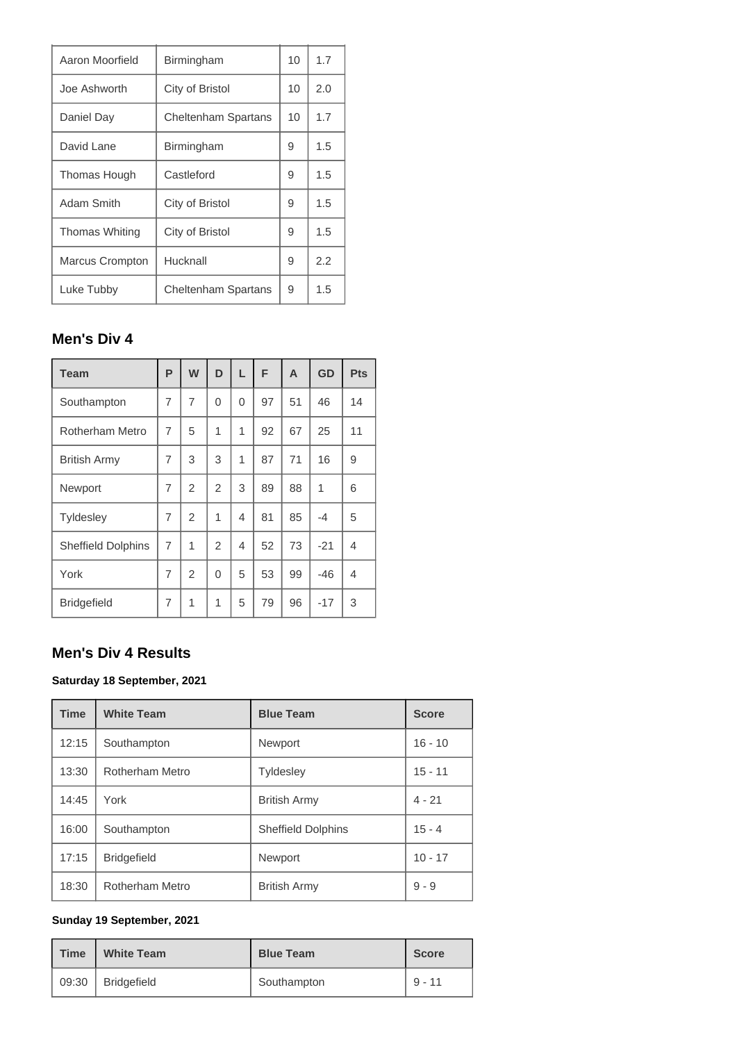| Aaron Moorfield | Birmingham                 | 10 | 1.7 |
|-----------------|----------------------------|----|-----|
| Joe Ashworth    | City of Bristol            | 10 | 2.0 |
| Daniel Day      | <b>Cheltenham Spartans</b> | 10 | 1.7 |
| David Lane      | Birmingham                 | 9  | 1.5 |
| Thomas Hough    | Castleford                 | 9  | 1.5 |
| Adam Smith      | City of Bristol            | 9  | 1.5 |
| Thomas Whiting  | City of Bristol            | 9  | 1.5 |
| Marcus Crompton | Hucknall                   | 9  | 2.2 |
| Luke Tubby      | <b>Cheltenham Spartans</b> | 9  | 1.5 |

# **Men's Div 4**

| <b>Team</b>               | P              | W              | D              | L | F  | A  | GD    | Pts |
|---------------------------|----------------|----------------|----------------|---|----|----|-------|-----|
| Southampton               | 7              | 7              | 0              | 0 | 97 | 51 | 46    | 14  |
| <b>Rotherham Metro</b>    | 7              | 5              | 1              | 1 | 92 | 67 | 25    | 11  |
| <b>British Army</b>       | $\overline{7}$ | 3              | 3              | 1 | 87 | 71 | 16    | 9   |
| Newport                   | $\overline{7}$ | $\overline{2}$ | $\overline{2}$ | 3 | 89 | 88 | 1     | 6   |
| <b>Tyldesley</b>          | 7              | $\overline{2}$ | 1              | 4 | 81 | 85 | $-4$  | 5   |
| <b>Sheffield Dolphins</b> | 7              | 1              | $\overline{2}$ | 4 | 52 | 73 | $-21$ | 4   |
| York                      | 7              | $\overline{2}$ | 0              | 5 | 53 | 99 | -46   | 4   |
| <b>Bridgefield</b>        | 7              | 1              | 1              | 5 | 79 | 96 | $-17$ | 3   |

# **Men's Div 4 Results**

#### **Saturday 18 September, 2021**

| <b>Time</b> | <b>White Team</b>  | <b>Blue Team</b>          | <b>Score</b> |
|-------------|--------------------|---------------------------|--------------|
| 12:15       | Southampton        | Newport                   | $16 - 10$    |
| 13:30       | Rotherham Metro    | <b>Tyldesley</b>          | $15 - 11$    |
| 14:45       | York               | <b>British Army</b>       | $4 - 21$     |
| 16:00       | Southampton        | <b>Sheffield Dolphins</b> | $15 - 4$     |
| 17:15       | <b>Bridgefield</b> | Newport                   | $10 - 17$    |
| 18:30       | Rotherham Metro    | <b>British Army</b>       | $9 - 9$      |

#### **Sunday 19 September, 2021**

| <b>Time</b> | <b>White Team</b>   | <b>Blue Team</b> | <b>Score</b> |
|-------------|---------------------|------------------|--------------|
|             | 09:30   Bridgefield | Southampton      | $9 - 11$     |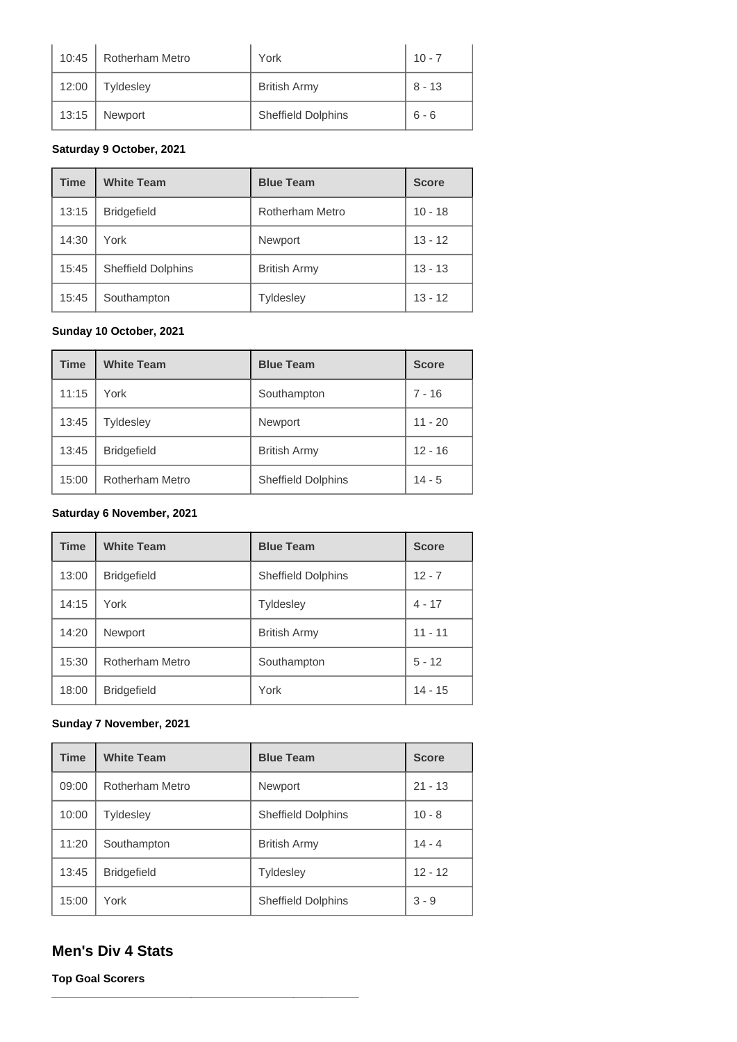| 10:45 | Rotherham Metro  | York                      | $10 - 7$ |
|-------|------------------|---------------------------|----------|
| 12:00 | <b>Tyldesley</b> | <b>British Army</b>       | $8 - 13$ |
| 13:15 | Newport          | <b>Sheffield Dolphins</b> | $6 - 6$  |

#### **Saturday 9 October, 2021**

| <b>Time</b> | <b>White Team</b>         | <b>Blue Team</b>    | <b>Score</b> |
|-------------|---------------------------|---------------------|--------------|
| 13:15       | <b>Bridgefield</b>        | Rotherham Metro     | $10 - 18$    |
| 14:30       | York                      | Newport             | $13 - 12$    |
| 15:45       | <b>Sheffield Dolphins</b> | <b>British Army</b> | $13 - 13$    |
| 15:45       | Southampton               | <b>Tyldesley</b>    | $13 - 12$    |

#### **Sunday 10 October, 2021**

| <b>Time</b> | <b>White Team</b>      | <b>Blue Team</b>          | <b>Score</b> |
|-------------|------------------------|---------------------------|--------------|
| 11:15       | York                   | Southampton               | 7 - 16       |
| 13:45       | <b>Tyldesley</b>       | Newport                   | $11 - 20$    |
| 13:45       | <b>Bridgefield</b>     | <b>British Army</b>       | $12 - 16$    |
| 15:00       | <b>Rotherham Metro</b> | <b>Sheffield Dolphins</b> | $14 - 5$     |

#### **Saturday 6 November, 2021**

| <b>Time</b> | <b>White Team</b>  | <b>Blue Team</b>          | <b>Score</b> |
|-------------|--------------------|---------------------------|--------------|
| 13:00       | <b>Bridgefield</b> | <b>Sheffield Dolphins</b> | $12 - 7$     |
| 14:15       | York               | <b>Tyldesley</b>          | $4 - 17$     |
| 14:20       | <b>Newport</b>     | <b>British Army</b>       | $11 - 11$    |
| 15:30       | Rotherham Metro    | Southampton               | $5 - 12$     |
| 18:00       | <b>Bridgefield</b> | York                      | $14 - 15$    |

### **Sunday 7 November, 2021**

| <b>Time</b> | <b>White Team</b>  | <b>Blue Team</b>          | <b>Score</b> |
|-------------|--------------------|---------------------------|--------------|
| 09:00       | Rotherham Metro    | Newport                   | $21 - 13$    |
| 10:00       | <b>Tyldesley</b>   | <b>Sheffield Dolphins</b> | $10 - 8$     |
| 11:20       | Southampton        | <b>British Army</b>       | $14 - 4$     |
| 13:45       | <b>Bridgefield</b> | <b>Tyldesley</b>          | $12 - 12$    |
| 15:00       | York               | <b>Sheffield Dolphins</b> | $3 - 9$      |

### **Men's Div 4 Stats**

**Top Goal Scorers**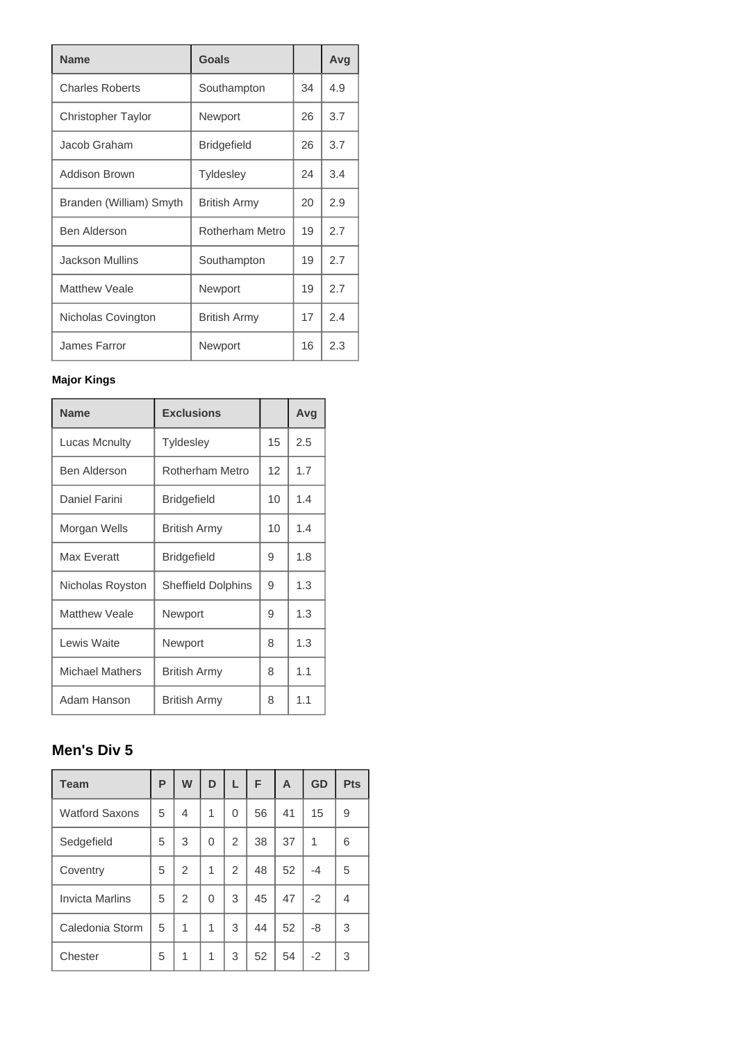| <b>Name</b>               | Goals               |    | Avg |
|---------------------------|---------------------|----|-----|
| <b>Charles Roberts</b>    | Southampton         | 34 | 4.9 |
| <b>Christopher Taylor</b> | Newport             | 26 | 3.7 |
| Jacob Graham              | <b>Bridgefield</b>  | 26 | 3.7 |
| Addison Brown             | <b>Tyldesley</b>    | 24 | 3.4 |
| Branden (William) Smyth   | <b>British Army</b> | 20 | 2.9 |
| <b>Ben Alderson</b>       | Rotherham Metro     | 19 | 2.7 |
| <b>Jackson Mullins</b>    | Southampton         | 19 | 2.7 |
| <b>Matthew Veale</b>      | Newport             | 19 | 2.7 |
| Nicholas Covington        | British Army        | 17 | 2.4 |
| James Farror              | Newport             | 16 | 2.3 |

### **Major Kings**

| <b>Name</b>            | <b>Exclusions</b>         |    | Avg |
|------------------------|---------------------------|----|-----|
| <b>Lucas Mcnulty</b>   | <b>Tyldesley</b>          | 15 | 2.5 |
| <b>Ben Alderson</b>    | Rotherham Metro           | 12 | 1.7 |
| Daniel Farini          | <b>Bridgefield</b>        | 10 | 1.4 |
| Morgan Wells           | <b>British Army</b>       | 10 | 1.4 |
| <b>Max Everatt</b>     | <b>Bridgefield</b>        | 9  | 1.8 |
| Nicholas Royston       | <b>Sheffield Dolphins</b> | 9  | 1.3 |
| <b>Matthew Veale</b>   | Newport                   | 9  | 1.3 |
| Lewis Waite            | Newport                   | 8  | 1.3 |
| <b>Michael Mathers</b> | <b>British Army</b>       | 8  | 1.1 |
| Adam Hanson            | <b>British Army</b>       | 8  | 1.1 |

# **Men's Div 5**

| <b>Team</b>            | P | W              | D | L | F  | A  | <b>GD</b> | Pts |
|------------------------|---|----------------|---|---|----|----|-----------|-----|
| <b>Watford Saxons</b>  | 5 | 4              | 1 | 0 | 56 | 41 | 15        | 9   |
| Sedgefield             | 5 | 3              | 0 | 2 | 38 | 37 | 1         | 6   |
| Coventry               | 5 | $\overline{2}$ | 1 | 2 | 48 | 52 | $-4$      | 5   |
| <b>Invicta Marlins</b> | 5 | $\overline{2}$ | 0 | 3 | 45 | 47 | $-2$      | 4   |
| Caledonia Storm        | 5 | 1              | 1 | 3 | 44 | 52 | -8        | 3   |
| Chester                | 5 | 1              | 1 | 3 | 52 | 54 | $-2$      | 3   |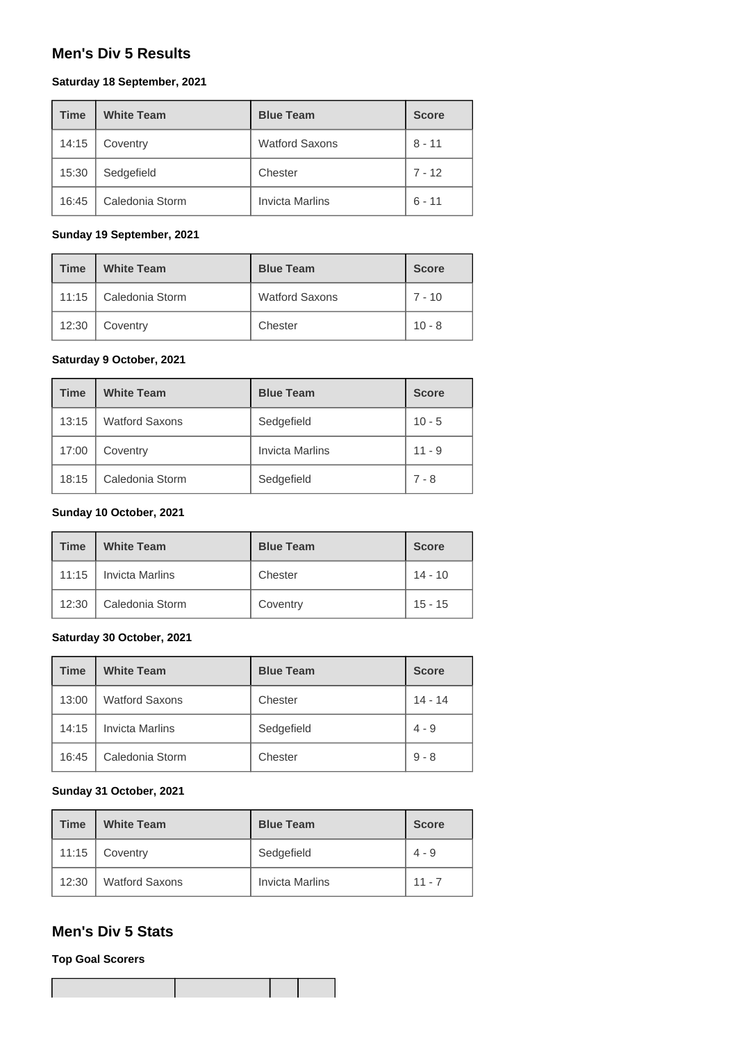### **Men's Div 5 Results**

#### **Saturday 18 September, 2021**

| <b>Time</b> | <b>White Team</b> | <b>Blue Team</b>       | <b>Score</b> |
|-------------|-------------------|------------------------|--------------|
| 14:15       | Coventry          | <b>Watford Saxons</b>  | $8 - 11$     |
| 15:30       | Sedgefield        | Chester                | $7 - 12$     |
| 16:45       | Caledonia Storm   | <b>Invicta Marlins</b> | $6 - 11$     |

#### **Sunday 19 September, 2021**

| <b>Time</b> | <b>White Team</b> | <b>Blue Team</b>      | <b>Score</b> |
|-------------|-------------------|-----------------------|--------------|
| 11:15       | Caledonia Storm   | <b>Watford Saxons</b> | $7 - 10$     |
| 12:30       | Coventry          | Chester               | $10 - 8$     |

### **Saturday 9 October, 2021**

| <b>Time</b> | <b>White Team</b>     | <b>Blue Team</b>       | <b>Score</b> |
|-------------|-----------------------|------------------------|--------------|
| 13:15       | <b>Watford Saxons</b> | Sedgefield             | $10 - 5$     |
| 17:00       | Coventry              | <b>Invicta Marlins</b> | $11 - 9$     |
| 18:15       | Caledonia Storm       | Sedgefield             | $7 - 8$      |

#### **Sunday 10 October, 2021**

| <b>Time</b> | <b>White Team</b>      | <b>Blue Team</b> | <b>Score</b> |
|-------------|------------------------|------------------|--------------|
| 11:15       | <b>Invicta Marlins</b> | Chester          | $14 - 10$    |
| 12:30       | Caledonia Storm        | Coventry         | $15 - 15$    |

#### **Saturday 30 October, 2021**

| <b>Time</b> | <b>White Team</b>      | <b>Blue Team</b> | <b>Score</b> |
|-------------|------------------------|------------------|--------------|
| 13:00       | <b>Watford Saxons</b>  | Chester          | $14 - 14$    |
| 14:15       | <b>Invicta Marlins</b> | Sedgefield       | $4 - 9$      |
| 16:45       | Caledonia Storm        | Chester          | $9 - 8$      |

#### **Sunday 31 October, 2021**

| <b>Time</b> | <b>White Team</b>     | <b>Blue Team</b>       | <b>Score</b> |
|-------------|-----------------------|------------------------|--------------|
| 11:15       | Coventry              | Sedgefield             | $4 - 9$      |
| 12:30       | <b>Watford Saxons</b> | <b>Invicta Marlins</b> | $11 - 7$     |

### **Men's Div 5 Stats**

**Top Goal Scorers**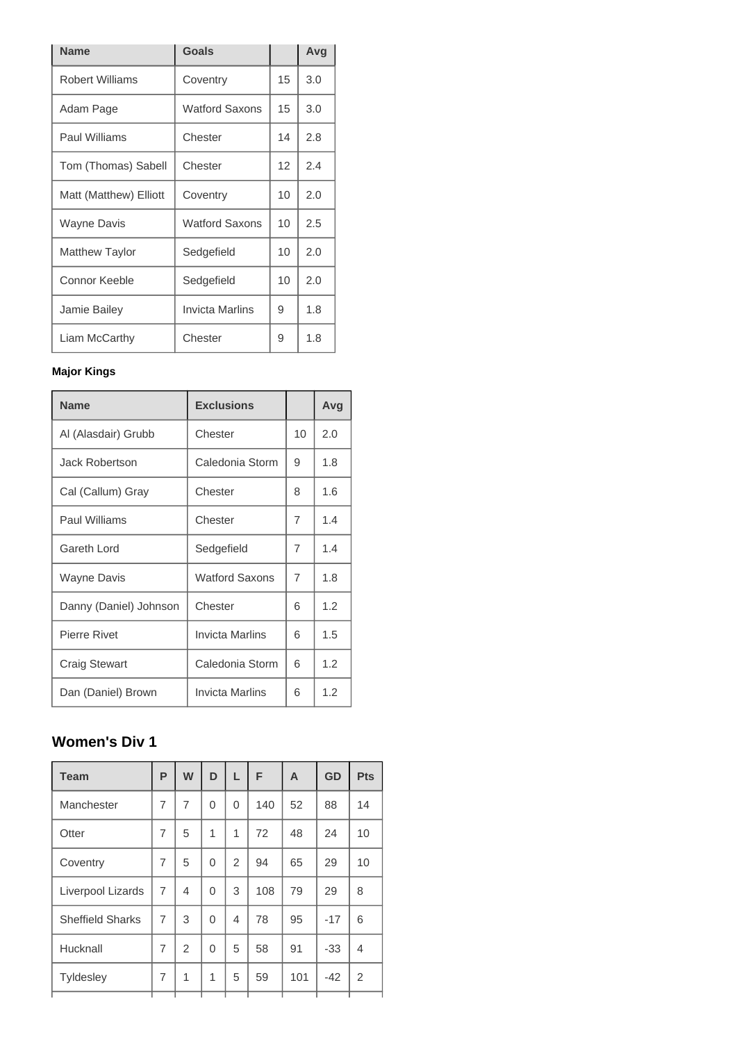| <b>Name</b>            | Goals                 |                 | Avg |
|------------------------|-----------------------|-----------------|-----|
| <b>Robert Williams</b> | Coventry              | 15              | 3.0 |
| Adam Page              | <b>Watford Saxons</b> | 15              | 3.0 |
| Paul Williams          | Chester               | 14              | 2.8 |
| Tom (Thomas) Sabell    | Chester               | 12              | 2.4 |
| Matt (Matthew) Elliott | Coventry              | 10              | 2.0 |
| <b>Wayne Davis</b>     | <b>Watford Saxons</b> | 10 <sup>1</sup> | 2.5 |
| <b>Matthew Taylor</b>  | Sedgefield            | 10              | 2.0 |
| Connor Keeble          | Sedgefield            | 10              | 2.0 |
| Jamie Bailey           | Invicta Marlins       | 9               | 1.8 |
| Liam McCarthy          | Chester               | 9               | 1.8 |

### **Major Kings**

| <b>Name</b>            | <b>Exclusions</b>      |                | Avg |
|------------------------|------------------------|----------------|-----|
| Al (Alasdair) Grubb    | Chester                | 10             | 2.0 |
| <b>Jack Robertson</b>  | Caledonia Storm        | 9              | 1.8 |
| Cal (Callum) Gray      | Chester                | 8              | 1.6 |
| Paul Williams          | Chester                | 7              | 1.4 |
| Gareth Lord            | Sedgefield             | $\overline{7}$ | 1.4 |
| <b>Wayne Davis</b>     | <b>Watford Saxons</b>  | 7              | 1.8 |
| Danny (Daniel) Johnson | Chester                | 6              | 1.2 |
| <b>Pierre Rivet</b>    | <b>Invicta Marlins</b> | 6              | 1.5 |
| <b>Craig Stewart</b>   | Caledonia Storm        | 6              | 1.2 |
| Dan (Daniel) Brown     | Invicta Marlins        | 6              | 1.2 |

# **Women's Div 1**

| <b>Team</b>             | P              | W              | D        | L            | F   | A   | GD    | <b>Pts</b>     |
|-------------------------|----------------|----------------|----------|--------------|-----|-----|-------|----------------|
| Manchester              | $\overline{7}$ | $\overline{7}$ | 0        | 0            | 140 | 52  | 88    | 14             |
| Otter                   | 7              | 5              | 1        | $\mathbf{1}$ | 72  | 48  | 24    | 10             |
| Coventry                | $\overline{7}$ | 5              | 0        | 2            | 94  | 65  | 29    | 10             |
| Liverpool Lizards       | $\overline{7}$ | 4              | 0        | 3            | 108 | 79  | 29    | 8              |
| <b>Sheffield Sharks</b> | $\overline{7}$ | 3              | $\Omega$ | 4            | 78  | 95  | $-17$ | 6              |
| Hucknall                | $\overline{7}$ | $\mathfrak{D}$ | 0        | 5            | 58  | 91  | $-33$ | 4              |
| Tyldesley               | 7              | 1              | 1        | 5            | 59  | 101 | $-42$ | $\overline{2}$ |
|                         |                |                |          |              |     |     |       |                |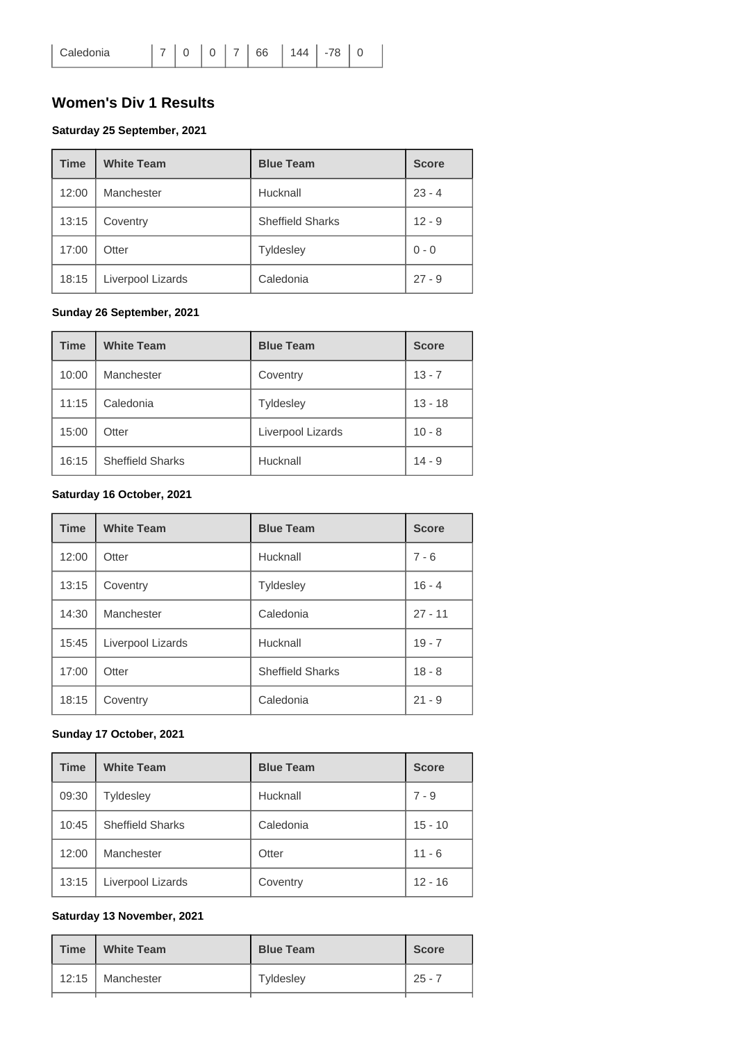### **Women's Div 1 Results**

#### **Saturday 25 September, 2021**

| <b>Time</b> | <b>White Team</b> | <b>Blue Team</b>        | <b>Score</b> |
|-------------|-------------------|-------------------------|--------------|
| 12:00       | Manchester        | Hucknall                | $23 - 4$     |
| 13:15       | Coventry          | <b>Sheffield Sharks</b> | $12 - 9$     |
| 17:00       | Otter             | <b>Tyldesley</b>        | $0 - 0$      |
| 18:15       | Liverpool Lizards | Caledonia               | $27 - 9$     |

#### **Sunday 26 September, 2021**

| <b>Time</b> | <b>White Team</b>       | <b>Blue Team</b>  | <b>Score</b> |
|-------------|-------------------------|-------------------|--------------|
| 10:00       | Manchester              | Coventry          | $13 - 7$     |
| 11:15       | Caledonia               | <b>Tyldesley</b>  | $13 - 18$    |
| 15:00       | Otter                   | Liverpool Lizards | $10 - 8$     |
| 16:15       | <b>Sheffield Sharks</b> | Hucknall          | $14 - 9$     |

#### **Saturday 16 October, 2021**

| <b>Time</b> | <b>White Team</b> | <b>Blue Team</b>        | <b>Score</b> |
|-------------|-------------------|-------------------------|--------------|
| 12:00       | Otter             | Hucknall                | $7 - 6$      |
| 13:15       | Coventry          | <b>Tyldesley</b>        | $16 - 4$     |
| 14:30       | Manchester        | Caledonia               | $27 - 11$    |
| 15:45       | Liverpool Lizards | Hucknall                | $19 - 7$     |
| 17:00       | Otter             | <b>Sheffield Sharks</b> | $18 - 8$     |
| 18:15       | Coventry          | Caledonia               | $21 - 9$     |

#### **Sunday 17 October, 2021**

| <b>Time</b> | <b>White Team</b>       | <b>Blue Team</b> | <b>Score</b> |
|-------------|-------------------------|------------------|--------------|
| 09:30       | <b>Tyldesley</b>        | Hucknall         | $7 - 9$      |
| 10:45       | <b>Sheffield Sharks</b> | Caledonia        | $15 - 10$    |
| 12:00       | Manchester              | Otter            | $11 - 6$     |
| 13:15       | Liverpool Lizards       | Coventry         | $12 - 16$    |

### **Saturday 13 November, 2021**

| <b>Time</b> | <b>White Team</b>  | <b>Blue Team</b> | <b>Score</b> |
|-------------|--------------------|------------------|--------------|
|             | 12:15   Manchester | Tyldesley        | $25 - 7$     |
|             |                    |                  |              |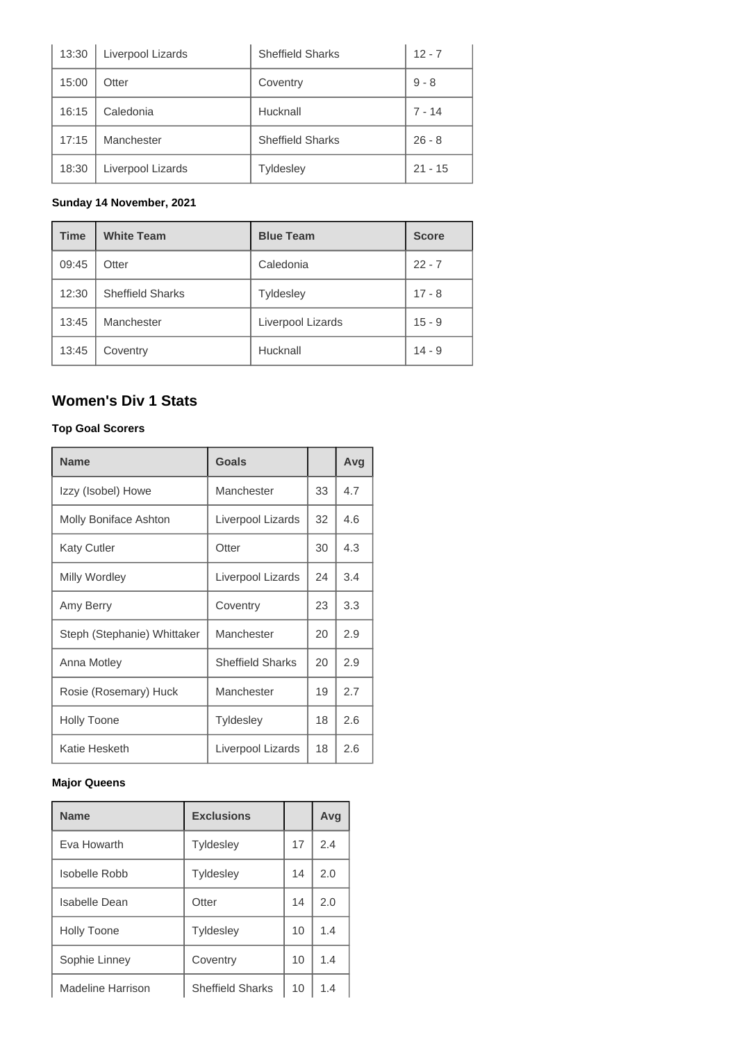| 13:30 | Liverpool Lizards | <b>Sheffield Sharks</b> | $12 - 7$  |
|-------|-------------------|-------------------------|-----------|
| 15:00 | Otter             | Coventry                | $9 - 8$   |
| 16:15 | Caledonia         | Hucknall                | $7 - 14$  |
| 17:15 | Manchester        | <b>Sheffield Sharks</b> | $26 - 8$  |
| 18:30 | Liverpool Lizards | Tyldesley               | $21 - 15$ |

#### **Sunday 14 November, 2021**

| <b>Time</b> | <b>White Team</b>       | <b>Blue Team</b>  | <b>Score</b> |
|-------------|-------------------------|-------------------|--------------|
| 09:45       | Otter                   | Caledonia         | $22 - 7$     |
| 12:30       | <b>Sheffield Sharks</b> | <b>Tyldesley</b>  | $17 - 8$     |
| 13:45       | Manchester              | Liverpool Lizards | $15 - 9$     |
| 13:45       | Coventry                | Hucknall          | $14 - 9$     |

# **Women's Div 1 Stats**

#### **Top Goal Scorers**

| <b>Name</b>                 | <b>Goals</b>            |    | Avg |
|-----------------------------|-------------------------|----|-----|
| Izzy (Isobel) Howe          | Manchester              | 33 | 4.7 |
| Molly Boniface Ashton       | Liverpool Lizards       | 32 | 4.6 |
| <b>Katy Cutler</b>          | Otter                   | 30 | 4.3 |
| Milly Wordley               | Liverpool Lizards       | 24 | 3.4 |
| Amy Berry                   | Coventry                | 23 | 3.3 |
| Steph (Stephanie) Whittaker | Manchester              | 20 | 2.9 |
| Anna Motley                 | <b>Sheffield Sharks</b> | 20 | 2.9 |
| Rosie (Rosemary) Huck       | Manchester              | 19 | 2.7 |
| <b>Holly Toone</b>          | <b>Tyldesley</b>        | 18 | 2.6 |
| Katie Hesketh               | Liverpool Lizards       | 18 | 2.6 |

#### **Major Queens**

| <b>Name</b>          | <b>Exclusions</b>       |    | Avg |
|----------------------|-------------------------|----|-----|
| Eva Howarth          | <b>Tyldesley</b>        | 17 | 2.4 |
| Isobelle Robb        | <b>Tyldesley</b>        | 14 | 2.0 |
| <b>Isabelle Dean</b> | Otter                   | 14 | 2.0 |
| <b>Holly Toone</b>   | <b>Tyldesley</b>        | 10 | 1.4 |
| Sophie Linney        | Coventry                | 10 | 1.4 |
| Madeline Harrison    | <b>Sheffield Sharks</b> | 10 | 1.4 |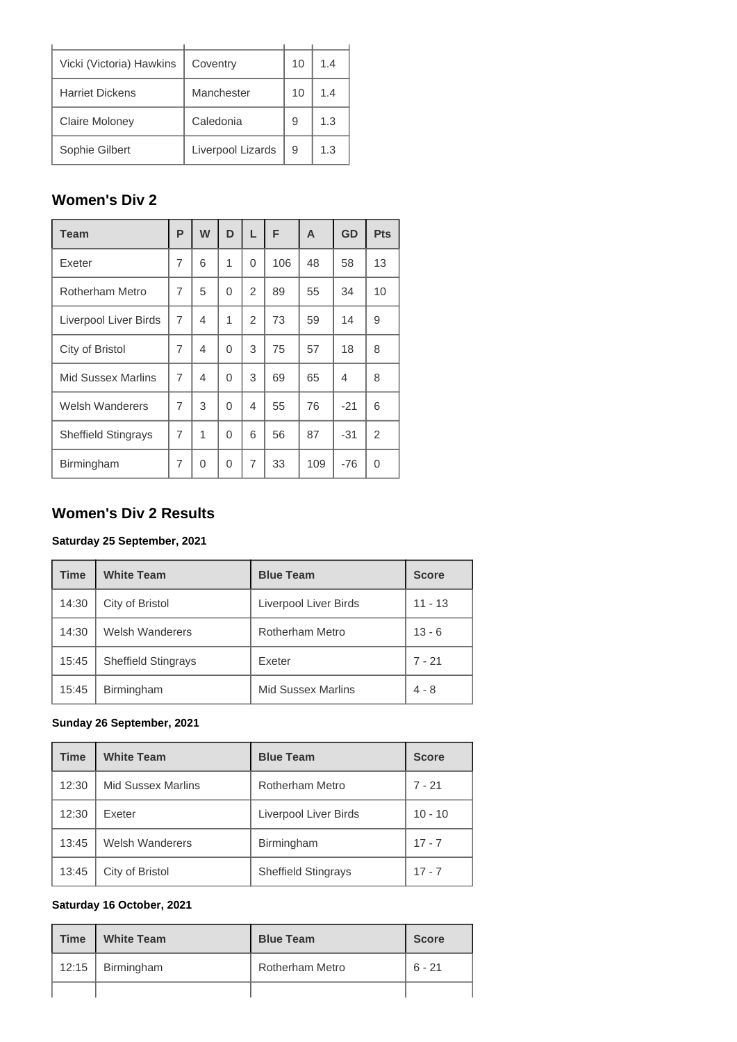| Vicki (Victoria) Hawkins | Coventry          | 10 | 1.4 |
|--------------------------|-------------------|----|-----|
| <b>Harriet Dickens</b>   | Manchester        | 10 | 1.4 |
| <b>Claire Moloney</b>    | Caledonia         | 9  | 1.3 |
| Sophie Gilbert           | Liverpool Lizards | 9  | 1.3 |

# **Women's Div 2**

| <b>Team</b>                | P              | W              | D | L              | F   | A   | GD    | <b>Pts</b>     |
|----------------------------|----------------|----------------|---|----------------|-----|-----|-------|----------------|
| Exeter                     | 7              | 6              | 1 | $\Omega$       | 106 | 48  | 58    | 13             |
| Rotherham Metro            | 7              | 5              | 0 | $\overline{2}$ | 89  | 55  | 34    | 10             |
| Liverpool Liver Birds      | $\overline{7}$ | $\overline{4}$ | 1 | $\overline{2}$ | 73  | 59  | 14    | 9              |
| City of Bristol            | $\overline{7}$ | $\overline{4}$ | 0 | 3              | 75  | 57  | 18    | 8              |
| <b>Mid Sussex Marlins</b>  | $\overline{7}$ | $\overline{4}$ | 0 | 3              | 69  | 65  | 4     | 8              |
| <b>Welsh Wanderers</b>     | 7              | 3              | 0 | 4              | 55  | 76  | $-21$ | 6              |
| <b>Sheffield Stingrays</b> | $\overline{7}$ | 1              | 0 | 6              | 56  | 87  | $-31$ | $\overline{2}$ |
| Birmingham                 | 7              | $\Omega$       | 0 | 7              | 33  | 109 | $-76$ | 0              |

### **Women's Div 2 Results**

### **Saturday 25 September, 2021**

| <b>Time</b> | <b>White Team</b>          | <b>Blue Team</b>          | <b>Score</b> |
|-------------|----------------------------|---------------------------|--------------|
| 14:30       | City of Bristol            | Liverpool Liver Birds     | $11 - 13$    |
| 14:30       | <b>Welsh Wanderers</b>     | <b>Rotherham Metro</b>    | $13 - 6$     |
| 15:45       | <b>Sheffield Stingrays</b> | Exeter                    | $7 - 21$     |
| 15:45       | Birmingham                 | <b>Mid Sussex Marlins</b> | $4 - 8$      |

#### **Sunday 26 September, 2021**

| <b>Time</b> | <b>White Team</b>         | <b>Blue Team</b>           | <b>Score</b> |
|-------------|---------------------------|----------------------------|--------------|
| 12:30       | <b>Mid Sussex Marlins</b> | Rotherham Metro            | $7 - 21$     |
| 12:30       | Exeter                    | Liverpool Liver Birds      | $10 - 10$    |
| 13:45       | <b>Welsh Wanderers</b>    | Birmingham                 | $17 - 7$     |
| 13:45       | City of Bristol           | <b>Sheffield Stingrays</b> | $17 - 7$     |

#### **Saturday 16 October, 2021**

| <b>Time</b> | <b>White Team</b> | <b>Blue Team</b>       | <b>Score</b> |
|-------------|-------------------|------------------------|--------------|
| 12:15       | Birmingham        | <b>Rotherham Metro</b> | 6 - 21       |
|             |                   |                        |              |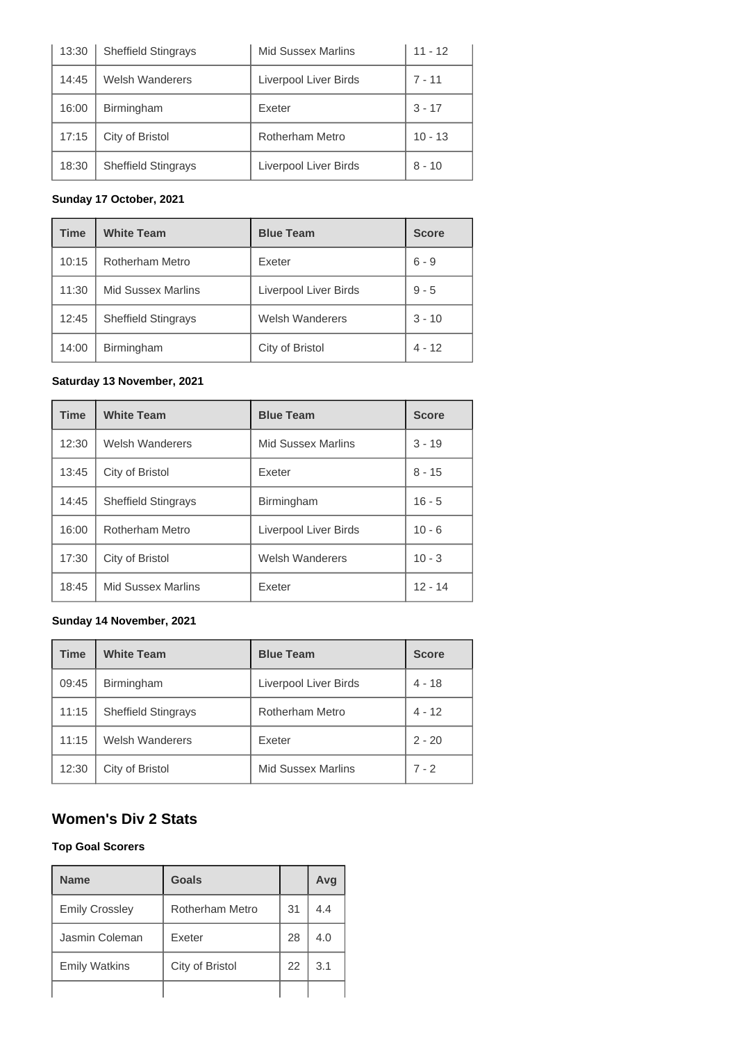| 13:30 | <b>Sheffield Stingrays</b> | <b>Mid Sussex Marlins</b> | 11 - 12   |
|-------|----------------------------|---------------------------|-----------|
| 14:45 | <b>Welsh Wanderers</b>     | Liverpool Liver Birds     | $7 - 11$  |
| 16:00 | Birmingham                 | Exeter                    | $3 - 17$  |
| 17:15 | City of Bristol            | <b>Rotherham Metro</b>    | $10 - 13$ |
| 18:30 | <b>Sheffield Stingrays</b> | Liverpool Liver Birds     | $8 - 10$  |

### **Sunday 17 October, 2021**

| <b>Time</b> | <b>White Team</b>          | <b>Blue Team</b>       | <b>Score</b> |
|-------------|----------------------------|------------------------|--------------|
| 10:15       | Rotherham Metro            | Exeter                 | $6 - 9$      |
| 11:30       | <b>Mid Sussex Marlins</b>  | Liverpool Liver Birds  | $9 - 5$      |
| 12:45       | <b>Sheffield Stingrays</b> | <b>Welsh Wanderers</b> | $3 - 10$     |
| 14:00       | Birmingham                 | City of Bristol        | $4 - 12$     |

#### **Saturday 13 November, 2021**

| <b>Time</b> | <b>White Team</b>          | <b>Blue Team</b>          | <b>Score</b> |
|-------------|----------------------------|---------------------------|--------------|
| 12:30       | <b>Welsh Wanderers</b>     | <b>Mid Sussex Marlins</b> | $3 - 19$     |
| 13:45       | City of Bristol            | Exeter                    | $8 - 15$     |
| 14:45       | <b>Sheffield Stingrays</b> | Birmingham                | $16 - 5$     |
| 16:00       | Rotherham Metro            | Liverpool Liver Birds     | $10 - 6$     |
| 17:30       | City of Bristol            | <b>Welsh Wanderers</b>    | $10 - 3$     |
| 18:45       | <b>Mid Sussex Marlins</b>  | Exeter                    | $12 - 14$    |

#### **Sunday 14 November, 2021**

| <b>Time</b> | <b>White Team</b>          | <b>Blue Team</b>          | <b>Score</b> |
|-------------|----------------------------|---------------------------|--------------|
| 09:45       | Birmingham                 | Liverpool Liver Birds     | 4 - 18       |
| 11:15       | <b>Sheffield Stingrays</b> | Rotherham Metro           | $4 - 12$     |
| 11:15       | <b>Welsh Wanderers</b>     | Exeter                    | $2 - 20$     |
| 12:30       | City of Bristol            | <b>Mid Sussex Marlins</b> | $7 - 2$      |

### **Women's Div 2 Stats**

#### **Top Goal Scorers**

| <b>Name</b>           | Goals           |    | Avg |
|-----------------------|-----------------|----|-----|
| <b>Emily Crossley</b> | Rotherham Metro | 31 | 4.4 |
| Jasmin Coleman        | Exeter          | 28 | 4.0 |
| <b>Emily Watkins</b>  | City of Bristol | 22 | 3.1 |
|                       |                 |    |     |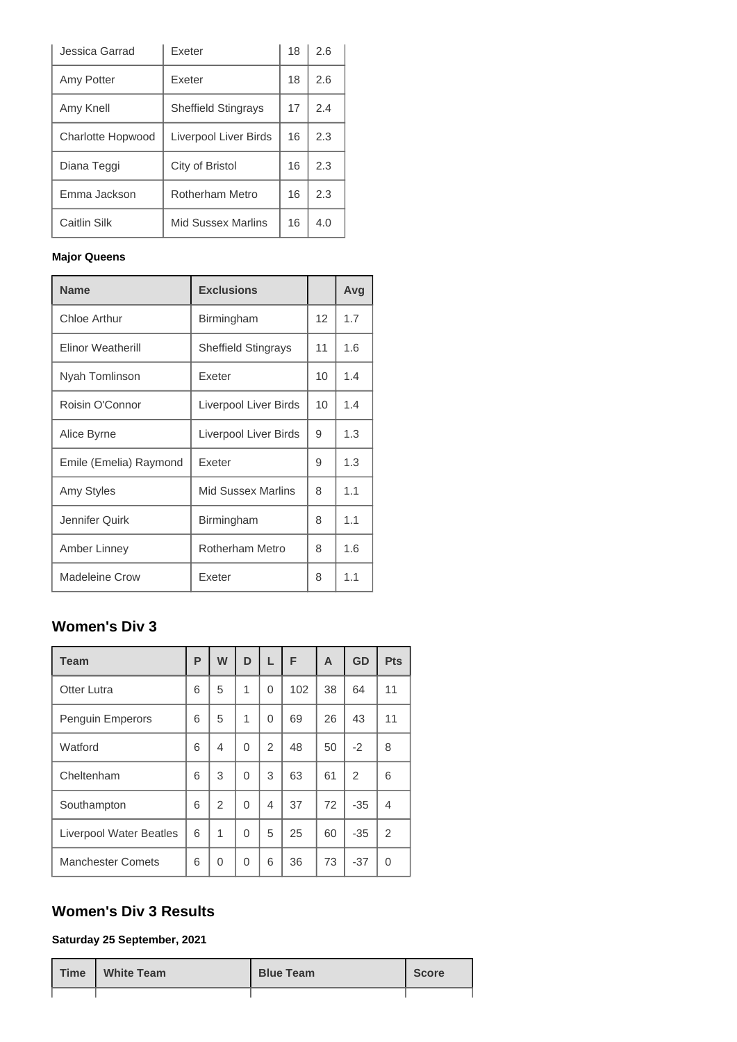| Jessica Garrad           | <b>Exeter</b>              | 18 | 2.6 |
|--------------------------|----------------------------|----|-----|
| Amy Potter               | Exeter                     | 18 | 2.6 |
| Amy Knell                | <b>Sheffield Stingrays</b> | 17 | 2.4 |
| <b>Charlotte Hopwood</b> | Liverpool Liver Birds      | 16 | 2.3 |
| Diana Teggi              | City of Bristol            | 16 | 2.3 |
| Emma Jackson             | Rotherham Metro            | 16 | 2.3 |
| Caitlin Silk             | Mid Sussex Marlins         | 16 | 4.0 |

#### **Major Queens**

| <b>Name</b>              | <b>Exclusions</b>          |                 | Avg |
|--------------------------|----------------------------|-----------------|-----|
| <b>Chloe Arthur</b>      | Birmingham                 | 12              | 1.7 |
| <b>Elinor Weatherill</b> | <b>Sheffield Stingrays</b> | 11              | 1.6 |
| Nyah Tomlinson           | Exeter                     | 10 <sup>1</sup> | 1.4 |
| Roisin O'Connor          | Liverpool Liver Birds      | 10 <sup>1</sup> | 1.4 |
| Alice Byrne              | Liverpool Liver Birds      | 9               | 1.3 |
| Emile (Emelia) Raymond   | Exeter                     | 9               | 1.3 |
| Amy Styles               | <b>Mid Sussex Marlins</b>  | 8               | 1.1 |
| Jennifer Quirk           | Birmingham                 | 8               | 1.1 |
| Amber Linney             | Rotherham Metro            | 8               | 1.6 |
| <b>Madeleine Crow</b>    | Exeter                     | 8               | 1.1 |

# **Women's Div 3**

| <b>Team</b>              | P | W              | D        | L | F   | A  | <b>GD</b>      | Pts            |
|--------------------------|---|----------------|----------|---|-----|----|----------------|----------------|
| <b>Otter Lutra</b>       | 6 | 5              | 1        | 0 | 102 | 38 | 64             | 11             |
| <b>Penguin Emperors</b>  | 6 | 5              | 1        | 0 | 69  | 26 | 43             | 11             |
| Watford                  | 6 | 4              | $\Omega$ | 2 | 48  | 50 | $-2$           | 8              |
| Cheltenham               | 6 | 3              | $\Omega$ | 3 | 63  | 61 | $\overline{2}$ | 6              |
| Southampton              | 6 | $\mathfrak{p}$ | $\Omega$ | 4 | 37  | 72 | $-35$          | 4              |
| Liverpool Water Beatles  | 6 | 1              | $\Omega$ | 5 | 25  | 60 | $-35$          | $\overline{2}$ |
| <b>Manchester Comets</b> | 6 | $\Omega$       | $\Omega$ | 6 | 36  | 73 | $-37$          | $\Omega$       |

# **Women's Div 3 Results**

#### **Saturday 25 September, 2021**

| Time | <b>White Team</b> | <b>Blue Team</b> | <b>Score</b> |
|------|-------------------|------------------|--------------|
|      |                   |                  |              |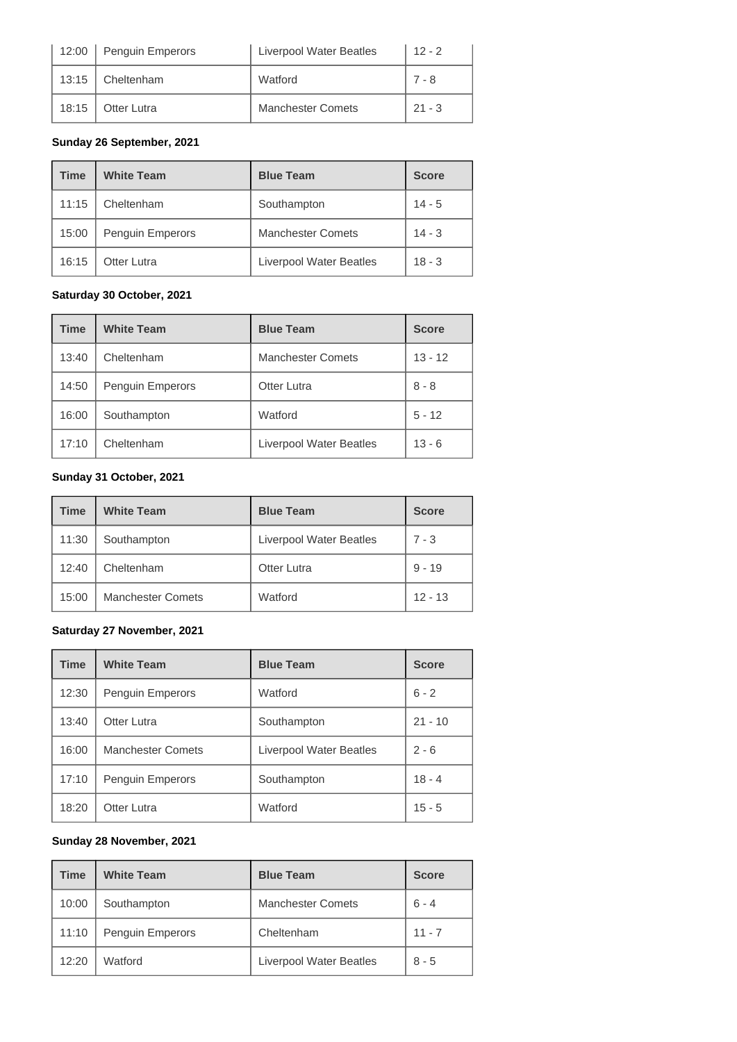| 12:00 | Penguin Emperors   | <b>Liverpool Water Beatles</b> | $12 - 2$ |
|-------|--------------------|--------------------------------|----------|
| 13:15 | Cheltenham         | Watford                        | $7 - 8$  |
| 18:15 | <b>Otter Lutra</b> | <b>Manchester Comets</b>       | $21 - 3$ |

#### **Sunday 26 September, 2021**

| <b>Time</b> | <b>White Team</b> | <b>Blue Team</b>               | <b>Score</b> |
|-------------|-------------------|--------------------------------|--------------|
| 11:15       | Cheltenham        | Southampton                    | $14 - 5$     |
| 15:00       | Penguin Emperors  | <b>Manchester Comets</b>       | $14 - 3$     |
| 16:15       | Otter Lutra       | <b>Liverpool Water Beatles</b> | $18 - 3$     |

#### **Saturday 30 October, 2021**

| <b>Time</b> | <b>White Team</b> | <b>Blue Team</b>         | <b>Score</b> |
|-------------|-------------------|--------------------------|--------------|
| 13:40       | Cheltenham        | <b>Manchester Comets</b> | $13 - 12$    |
| 14:50       | Penguin Emperors  | <b>Otter Lutra</b>       | $8 - 8$      |
| 16:00       | Southampton       | Watford                  | $5 - 12$     |
| 17:10       | Cheltenham        | Liverpool Water Beatles  | $13 - 6$     |

#### **Sunday 31 October, 2021**

| Time  | <b>White Team</b>        | <b>Blue Team</b>               | <b>Score</b> |
|-------|--------------------------|--------------------------------|--------------|
| 11:30 | Southampton              | <b>Liverpool Water Beatles</b> | $7 - 3$      |
| 12:40 | Cheltenham               | Otter Lutra                    | $9 - 19$     |
| 15:00 | <b>Manchester Comets</b> | Watford                        | $12 - 13$    |

#### **Saturday 27 November, 2021**

| <b>Time</b> | <b>White Team</b>        | <b>Blue Team</b>               | <b>Score</b> |
|-------------|--------------------------|--------------------------------|--------------|
| 12:30       | Penguin Emperors         | Watford                        | $6 - 2$      |
| 13:40       | Otter Lutra              | Southampton                    | $21 - 10$    |
| 16:00       | <b>Manchester Comets</b> | <b>Liverpool Water Beatles</b> | $2 - 6$      |
| 17:10       | Penguin Emperors         | Southampton                    | $18 - 4$     |
| 18:20       | Otter Lutra              | Watford                        | $15 - 5$     |

#### **Sunday 28 November, 2021**

| <b>Time</b> | <b>White Team</b> | <b>Blue Team</b>               | <b>Score</b> |
|-------------|-------------------|--------------------------------|--------------|
| 10:00       | Southampton       | <b>Manchester Comets</b>       | $6 - 4$      |
| 11:10       | Penguin Emperors  | Cheltenham                     | $11 - 7$     |
| 12:20       | Watford           | <b>Liverpool Water Beatles</b> | $8 - 5$      |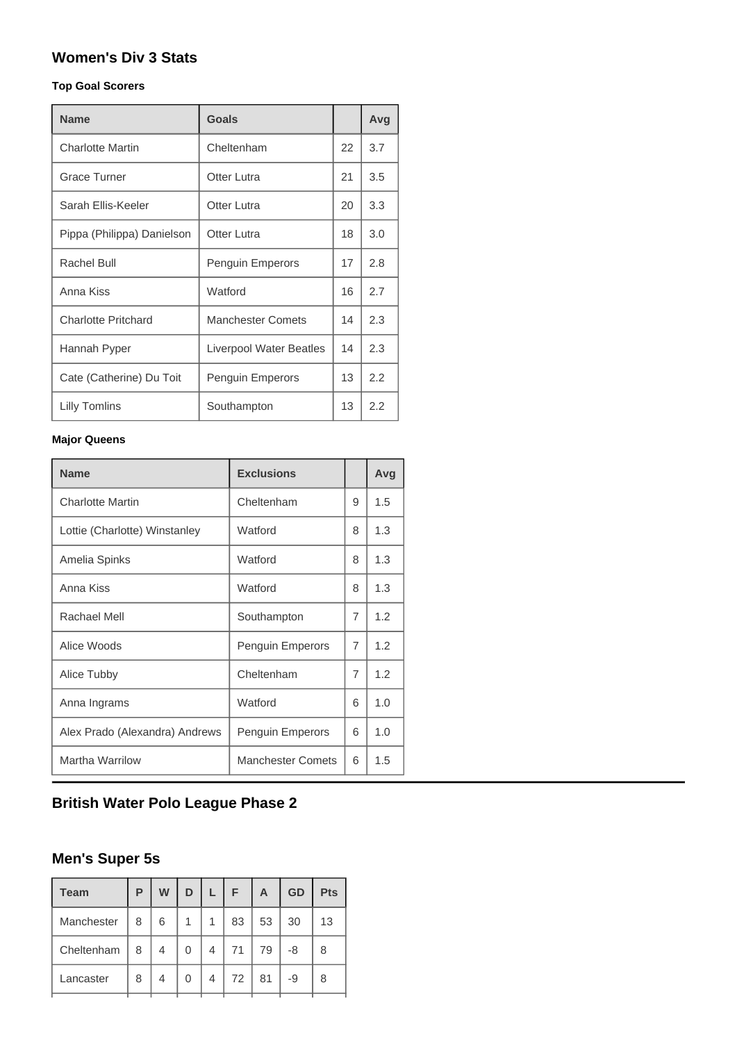# **Women's Div 3 Stats**

#### **Top Goal Scorers**

| <b>Name</b>                | <b>Goals</b>             |    | Avg |
|----------------------------|--------------------------|----|-----|
| <b>Charlotte Martin</b>    | Cheltenham               | 22 | 3.7 |
| <b>Grace Turner</b>        | Otter Lutra              | 21 | 3.5 |
| Sarah Ellis-Keeler         | Otter Lutra              | 20 | 3.3 |
| Pippa (Philippa) Danielson | Otter Lutra              | 18 | 3.0 |
| Rachel Bull                | <b>Penguin Emperors</b>  | 17 | 2.8 |
| Anna Kiss                  | Watford                  | 16 | 2.7 |
| <b>Charlotte Pritchard</b> | <b>Manchester Comets</b> | 14 | 2.3 |
| Hannah Pyper               | Liverpool Water Beatles  | 14 | 2.3 |
| Cate (Catherine) Du Toit   | <b>Penguin Emperors</b>  | 13 | 2.2 |
| Lilly Tomlins              | Southampton              | 13 | 2.2 |

#### **Major Queens**

| <b>Name</b>                    | <b>Exclusions</b>        |   | Avg |
|--------------------------------|--------------------------|---|-----|
| <b>Charlotte Martin</b>        | Cheltenham               | 9 | 1.5 |
| Lottie (Charlotte) Winstanley  | Watford                  | 8 | 1.3 |
| Amelia Spinks                  | Watford                  | 8 | 1.3 |
| Anna Kiss                      | Watford                  | 8 | 1.3 |
| Rachael Mell                   | Southampton              | 7 | 1.2 |
| Alice Woods                    | Penguin Emperors         | 7 | 1.2 |
| Alice Tubby                    | Cheltenham               | 7 | 1.2 |
| Anna Ingrams                   | Watford                  | 6 | 1.0 |
| Alex Prado (Alexandra) Andrews | Penguin Emperors         | 6 | 1.0 |
| Martha Warrilow                | <b>Manchester Comets</b> | 6 | 1.5 |

# **British Water Polo League Phase 2**

# **Men's Super 5s**

| Р | W | D |   | F  | A  | <b>GD</b> | <b>Pts</b> |
|---|---|---|---|----|----|-----------|------------|
| 8 | 6 | 1 | 1 | 83 | 53 | 30        | 13         |
| 8 | 4 | 0 | 4 | 71 | 79 | -8        | 8          |
| 8 | 4 | 0 | 4 | 72 | 81 | -9        | 8          |
|   |   |   |   |    |    |           |            |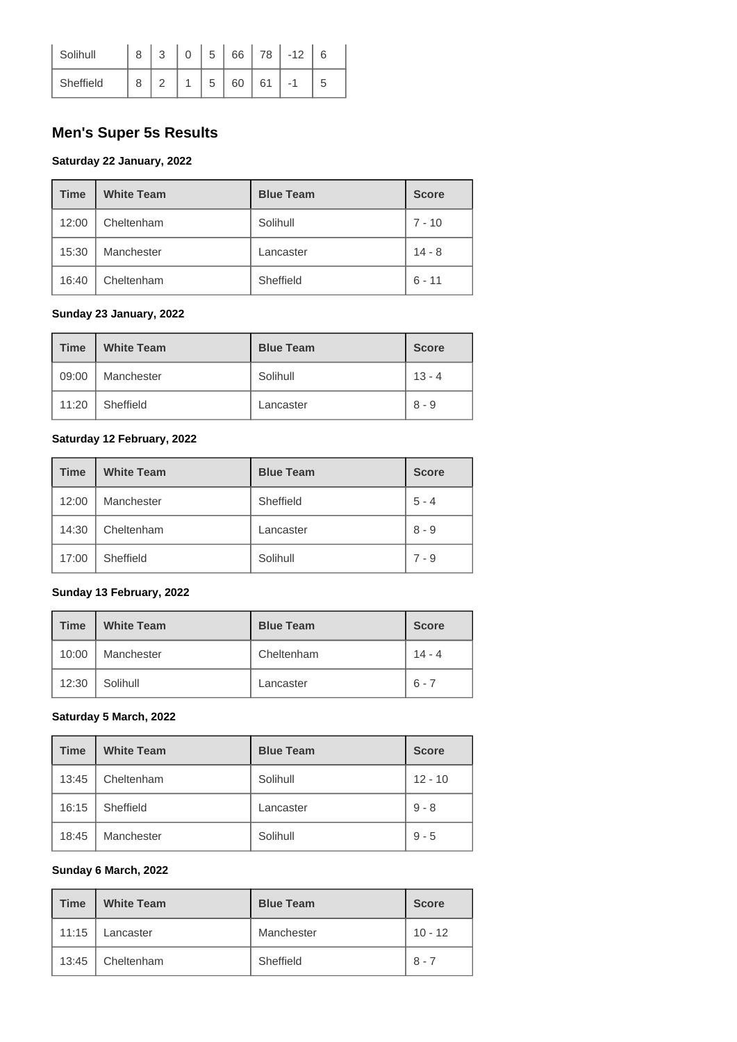| Solihull  | $\Omega$ | 5 | 66 | 78 |   |
|-----------|----------|---|----|----|---|
| Sheffield | $\sim$   | C | 60 | 61 | 5 |

# **Men's Super 5s Results**

#### **Saturday 22 January, 2022**

| <b>Time</b> | <b>White Team</b> | <b>Blue Team</b> | <b>Score</b> |
|-------------|-------------------|------------------|--------------|
| 12:00       | Cheltenham        | Solihull         | $7 - 10$     |
| 15:30       | Manchester        | Lancaster        | $14 - 8$     |
| 16:40       | Cheltenham        | Sheffield        | $6 - 11$     |

#### **Sunday 23 January, 2022**

| <b>Time</b> | <b>White Team</b> | <b>Blue Team</b> | <b>Score</b> |
|-------------|-------------------|------------------|--------------|
| 09:00       | Manchester        | Solihull         | $13 - 4$     |
| 11:20       | Sheffield         | Lancaster        | $8 - 9$      |

#### **Saturday 12 February, 2022**

| <b>Time</b> | <b>White Team</b> | <b>Blue Team</b> | <b>Score</b> |
|-------------|-------------------|------------------|--------------|
| 12:00       | Manchester        | Sheffield        | $5 - 4$      |
| 14:30       | Cheltenham        | Lancaster        | $8 - 9$      |
| 17:00       | Sheffield         | Solihull         | $7 - 9$      |

#### **Sunday 13 February, 2022**

| <b>Time</b> | <b>White Team</b> | <b>Blue Team</b> | <b>Score</b> |
|-------------|-------------------|------------------|--------------|
| 10:00       | Manchester        | Cheltenham       | $14 - 4$     |
| 12:30       | Solihull          | Lancaster        | $6 - 7$      |

#### **Saturday 5 March, 2022**

| <b>Time</b> | <b>White Team</b> | <b>Blue Team</b> | <b>Score</b> |
|-------------|-------------------|------------------|--------------|
| 13:45       | Cheltenham        | Solihull         | $12 - 10$    |
| 16:15       | Sheffield         | Lancaster        | $9 - 8$      |
| 18:45       | Manchester        | Solihull         | $9 - 5$      |

#### **Sunday 6 March, 2022**

| <b>Time</b> | <b>White Team</b> | <b>Blue Team</b> | <b>Score</b> |
|-------------|-------------------|------------------|--------------|
| 11:15       | Lancaster         | Manchester       | $10 - 12$    |
| 13:45       | Cheltenham        | Sheffield        | $8 - 7$      |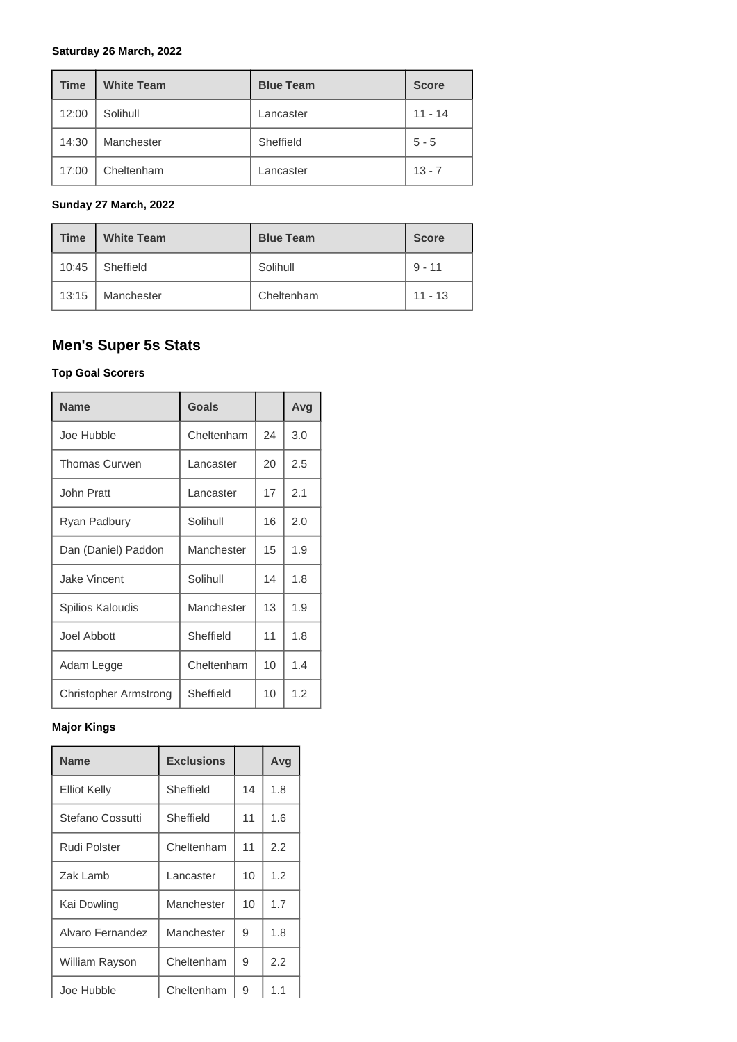#### **Saturday 26 March, 2022**

| <b>Time</b> | <b>White Team</b> | <b>Blue Team</b> | <b>Score</b> |
|-------------|-------------------|------------------|--------------|
| 12:00       | Solihull          | Lancaster        | $11 - 14$    |
| 14:30       | Manchester        | Sheffield        | $5 - 5$      |
| 17:00       | Cheltenham        | Lancaster        | $13 - 7$     |

#### **Sunday 27 March, 2022**

| <b>Time</b> | <b>White Team</b> | <b>Blue Team</b> | <b>Score</b> |
|-------------|-------------------|------------------|--------------|
| 10:45       | Sheffield         | Solihull         | $9 - 11$     |
| 13:15       | Manchester        | Cheltenham       | $11 - 13$    |

# **Men's Super 5s Stats**

#### **Top Goal Scorers**

| <b>Name</b>                  | Goals      |    | Avg |
|------------------------------|------------|----|-----|
| Joe Hubble                   | Cheltenham | 24 | 3.0 |
| <b>Thomas Curwen</b>         | Lancaster  | 20 | 2.5 |
| John Pratt                   | Lancaster  | 17 | 2.1 |
| Ryan Padbury                 | Solihull   | 16 | 2.0 |
| Dan (Daniel) Paddon          | Manchester | 15 | 1.9 |
| Jake Vincent                 | Solihull   | 14 | 1.8 |
| Spilios Kaloudis             | Manchester | 13 | 1.9 |
| Joel Abbott                  | Sheffield  | 11 | 1.8 |
| Adam Legge                   | Cheltenham | 10 | 1.4 |
| <b>Christopher Armstrong</b> | Sheffield  | 10 | 1.2 |

#### **Major Kings**

| <b>Name</b>           | <b>Exclusions</b> |    | Avg |
|-----------------------|-------------------|----|-----|
| <b>Elliot Kelly</b>   | Sheffield         | 14 | 1.8 |
| Stefano Cossutti      | Sheffield         | 11 | 1.6 |
| Rudi Polster          | Cheltenham        | 11 | 2.2 |
| Zak Lamb              | Lancaster         | 10 | 1.2 |
| Kai Dowling           | Manchester        | 10 | 1.7 |
| Alvaro Fernandez      | Manchester        | 9  | 1.8 |
| <b>William Rayson</b> | Cheltenham        | 9  | 2.2 |
| Joe Hubble            | Cheltenham        | 9  | 1.1 |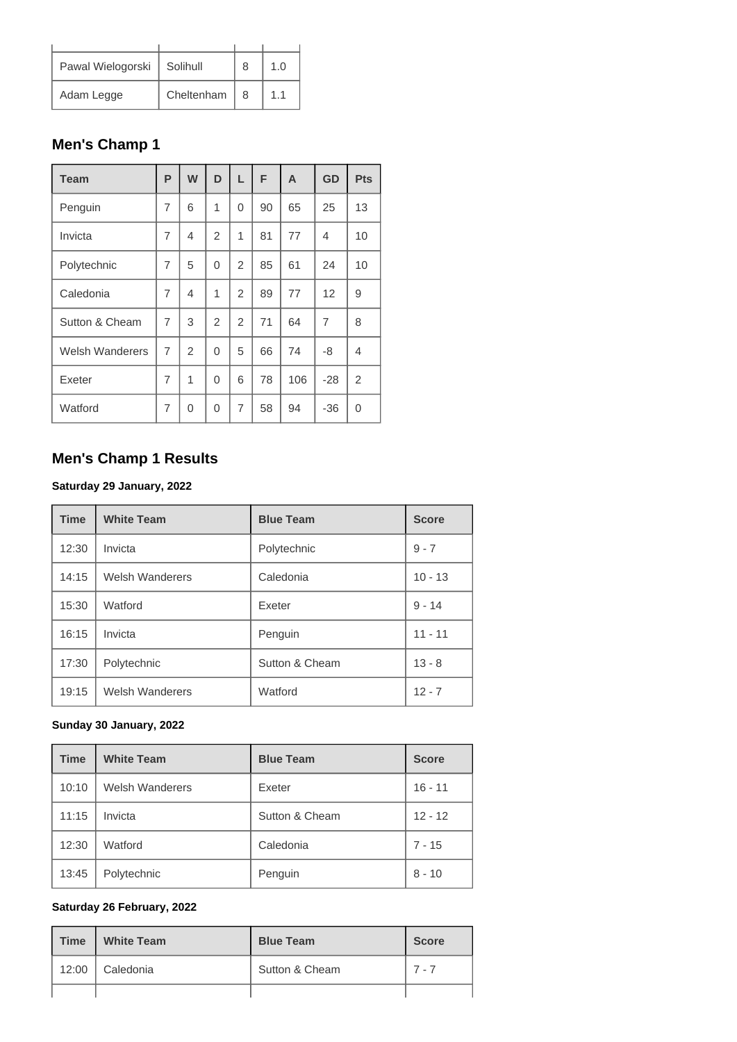| Pawal Wielogorski | Solihull   | 8 | 1 በ |
|-------------------|------------|---|-----|
| Adam Legge        | Cheltenham | 8 | 11  |

# **Men's Champ 1**

| <b>Team</b>            | P              | W              | D              | L              | F  | A   | <b>GD</b>      | <b>Pts</b>     |
|------------------------|----------------|----------------|----------------|----------------|----|-----|----------------|----------------|
| Penguin                | 7              | 6              | 1              | 0              | 90 | 65  | 25             | 13             |
| Invicta                | 7              | $\overline{4}$ | $\overline{2}$ | 1              | 81 | 77  | 4              | 10             |
| Polytechnic            | $\overline{7}$ | 5              | 0              | $\overline{2}$ | 85 | 61  | 24             | 10             |
| Caledonia              | $\overline{7}$ | $\overline{4}$ | 1              | 2              | 89 | 77  | 12             | 9              |
| Sutton & Cheam         | $\overline{7}$ | 3              | 2              | $\overline{2}$ | 71 | 64  | $\overline{7}$ | 8              |
| <b>Welsh Wanderers</b> | $\overline{7}$ | $\overline{2}$ | $\Omega$       | 5              | 66 | 74  | -8             | 4              |
| Exeter                 | 7              | 1              | $\Omega$       | 6              | 78 | 106 | $-28$          | $\overline{2}$ |
| Watford                | 7              | 0              | 0              | 7              | 58 | 94  | $-36$          | 0              |

# **Men's Champ 1 Results**

### **Saturday 29 January, 2022**

| <b>Time</b> | <b>White Team</b>      | <b>Blue Team</b> | <b>Score</b> |
|-------------|------------------------|------------------|--------------|
| 12:30       | Invicta                | Polytechnic      | $9 - 7$      |
| 14:15       | <b>Welsh Wanderers</b> | Caledonia        | $10 - 13$    |
| 15:30       | Watford                | Exeter           | $9 - 14$     |
| 16:15       | Invicta                | Penguin          | $11 - 11$    |
| 17:30       | Polytechnic            | Sutton & Cheam   | $13 - 8$     |
| 19:15       | <b>Welsh Wanderers</b> | Watford          | $12 - 7$     |

### **Sunday 30 January, 2022**

| <b>Time</b> | <b>White Team</b>      | <b>Blue Team</b> | <b>Score</b> |
|-------------|------------------------|------------------|--------------|
| 10:10       | <b>Welsh Wanderers</b> | Exeter           | $16 - 11$    |
| 11:15       | Invicta                | Sutton & Cheam   | $12 - 12$    |
| 12:30       | Watford                | Caledonia        | $7 - 15$     |
| 13:45       | Polytechnic            | Penguin          | $8 - 10$     |

#### **Saturday 26 February, 2022**

| <b>Time</b> | <b>White Team</b> | <b>Blue Team</b> | <b>Score</b> |
|-------------|-------------------|------------------|--------------|
| 12:00       | Caledonia         | Sutton & Cheam   | $7 - 7$      |
|             |                   |                  |              |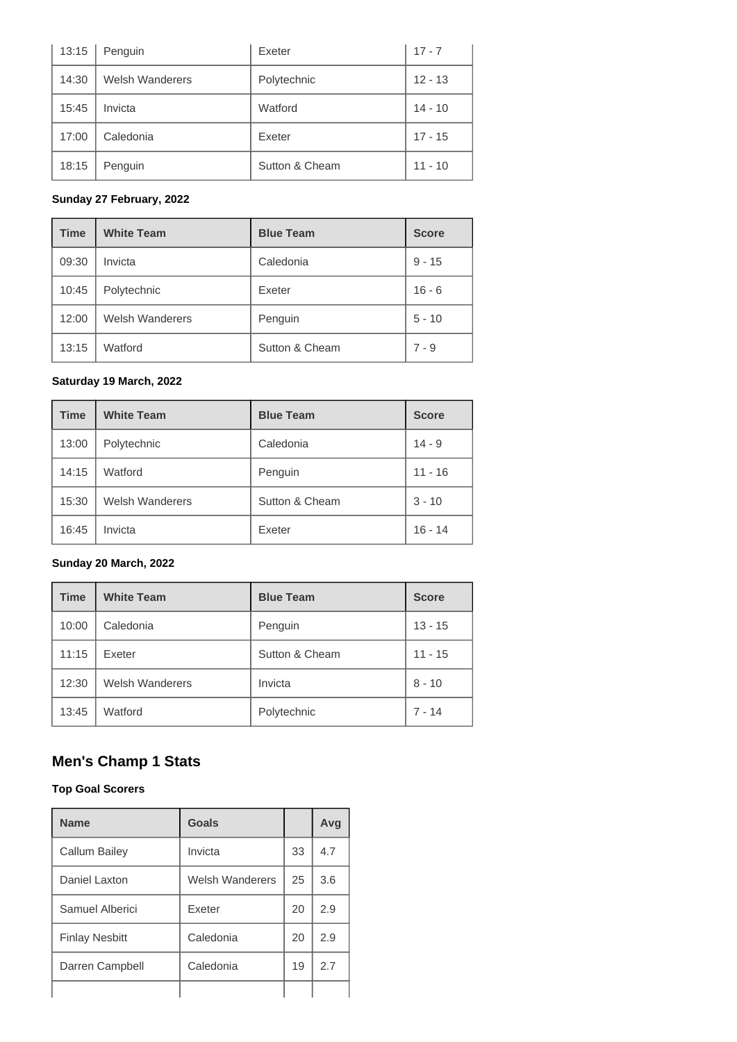| 13:15 | Penguin                | Exeter         | $17 - 7$  |
|-------|------------------------|----------------|-----------|
| 14:30 | <b>Welsh Wanderers</b> | Polytechnic    | $12 - 13$ |
| 15:45 | Invicta                | Watford        | $14 - 10$ |
| 17:00 | Caledonia              | Exeter         | $17 - 15$ |
| 18:15 | Penguin                | Sutton & Cheam | $11 - 10$ |

### **Sunday 27 February, 2022**

| <b>Time</b> | <b>White Team</b>      | <b>Blue Team</b> | <b>Score</b> |
|-------------|------------------------|------------------|--------------|
| 09:30       | Invicta                | Caledonia        | $9 - 15$     |
| 10:45       | Polytechnic            | Exeter           | $16 - 6$     |
| 12:00       | <b>Welsh Wanderers</b> | Penguin          | $5 - 10$     |
| 13:15       | Watford                | Sutton & Cheam   | $7 - 9$      |

#### **Saturday 19 March, 2022**

| <b>Time</b> | <b>White Team</b>      | <b>Blue Team</b> | <b>Score</b> |
|-------------|------------------------|------------------|--------------|
| 13:00       | Polytechnic            | Caledonia        | $14 - 9$     |
| 14:15       | Watford                | Penguin          | $11 - 16$    |
| 15:30       | <b>Welsh Wanderers</b> | Sutton & Cheam   | $3 - 10$     |
| 16:45       | Invicta                | Exeter           | $16 - 14$    |

#### **Sunday 20 March, 2022**

| <b>Time</b> | <b>White Team</b>      | <b>Blue Team</b> | <b>Score</b> |
|-------------|------------------------|------------------|--------------|
| 10:00       | Caledonia              | Penguin          | $13 - 15$    |
| 11:15       | Exeter                 | Sutton & Cheam   | $11 - 15$    |
| 12:30       | <b>Welsh Wanderers</b> | Invicta          | $8 - 10$     |
| 13:45       | Watford                | Polytechnic      | $7 - 14$     |

# **Men's Champ 1 Stats**

#### **Top Goal Scorers**

| <b>Name</b>           | Goals           |    | Avq |
|-----------------------|-----------------|----|-----|
| Callum Bailey         | Invicta         | 33 | 4.7 |
| Daniel Laxton         | Welsh Wanderers | 25 | 3.6 |
| Samuel Alberici       | <b>Exeter</b>   | 20 | 2.9 |
| <b>Finlay Nesbitt</b> | Caledonia       | 20 | 2.9 |
| Darren Campbell       | Caledonia       | 19 | 2.7 |
|                       |                 |    |     |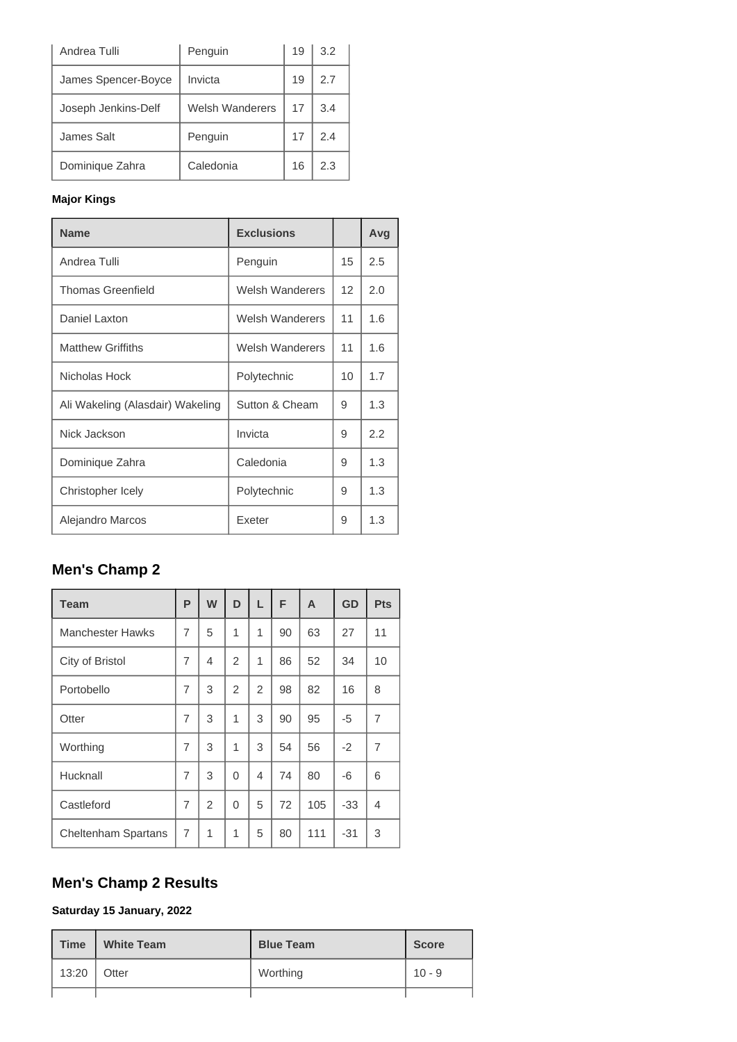| Andrea Tulli        | Penguin         | 19 | 3.2 |
|---------------------|-----------------|----|-----|
| James Spencer-Boyce | Invicta         | 19 | 2.7 |
| Joseph Jenkins-Delf | Welsh Wanderers | 17 | 3.4 |
| James Salt          | Penguin         | 17 | 2.4 |
| Dominique Zahra     | Caledonia       | 16 | 2.3 |

### **Major Kings**

| <b>Name</b>                      | <b>Exclusions</b>      |    | Avg |
|----------------------------------|------------------------|----|-----|
| Andrea Tulli                     | Penguin                | 15 | 2.5 |
| <b>Thomas Greenfield</b>         | <b>Welsh Wanderers</b> | 12 | 2.0 |
| Daniel Laxton                    | <b>Welsh Wanderers</b> | 11 | 1.6 |
| <b>Matthew Griffiths</b>         | Welsh Wanderers        | 11 | 1.6 |
| Nicholas Hock                    | Polytechnic            | 10 | 1.7 |
| Ali Wakeling (Alasdair) Wakeling | Sutton & Cheam         | 9  | 1.3 |
| Nick Jackson                     | Invicta                | 9  | 2.2 |
| Dominique Zahra                  | Caledonia              | 9  | 1.3 |
| Christopher Icely                | Polytechnic            | 9  | 1.3 |
| Alejandro Marcos                 | Exeter                 | 9  | 1.3 |

# **Men's Champ 2**

| <b>Team</b>                | P              | W              | D              | L              | F  | A   | GD   | <b>Pts</b>     |
|----------------------------|----------------|----------------|----------------|----------------|----|-----|------|----------------|
| <b>Manchester Hawks</b>    | 7              | 5              | 1              | 1              | 90 | 63  | 27   | 11             |
| City of Bristol            | 7              | 4              | $\overline{2}$ | 1              | 86 | 52  | 34   | 10             |
| Portobello                 | 7              | 3              | $\overline{2}$ | $\overline{2}$ | 98 | 82  | 16   | 8              |
| Otter                      | $\overline{7}$ | 3              | 1              | 3              | 90 | 95  | -5   | $\overline{7}$ |
| Worthing                   | 7              | 3              | 1              | 3              | 54 | 56  | $-2$ | 7              |
| Hucknall                   | 7              | 3              | 0              | 4              | 74 | 80  | -6   | 6              |
| Castleford                 | 7              | $\overline{2}$ | $\Omega$       | 5              | 72 | 105 | -33  | 4              |
| <b>Cheltenham Spartans</b> | 7              | 1              | 1              | 5              | 80 | 111 | -31  | 3              |

# **Men's Champ 2 Results**

**Saturday 15 January, 2022**

| <b>Time</b> | <b>White Team</b> | <b>Blue Team</b> | <b>Score</b> |
|-------------|-------------------|------------------|--------------|
| 13:20       | Otter             | Worthing         | $10 - 9$     |
|             |                   |                  |              |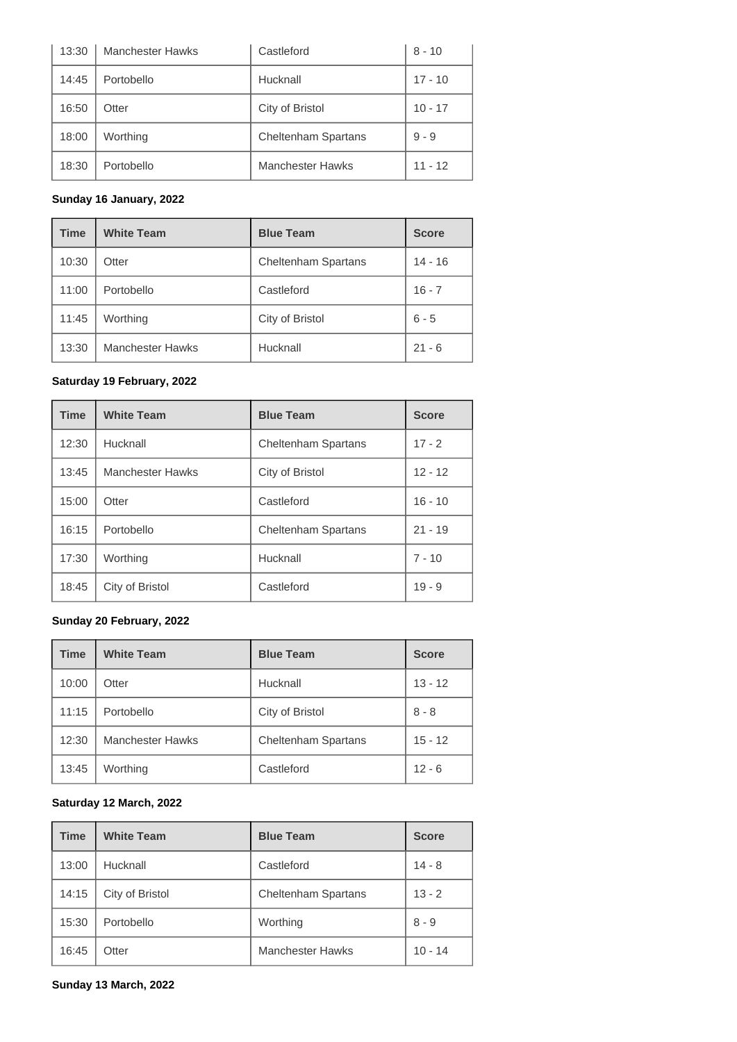| 13:30 | <b>Manchester Hawks</b> | Castleford                 | $8 - 10$  |
|-------|-------------------------|----------------------------|-----------|
| 14:45 | Portobello              | Hucknall                   | $17 - 10$ |
| 16:50 | Otter                   | City of Bristol            | $10 - 17$ |
| 18:00 | Worthing                | <b>Cheltenham Spartans</b> | $9 - 9$   |
| 18:30 | Portobello              | <b>Manchester Hawks</b>    | $11 - 12$ |

### **Sunday 16 January, 2022**

| <b>Time</b> | <b>White Team</b>       | <b>Blue Team</b>           | <b>Score</b> |
|-------------|-------------------------|----------------------------|--------------|
| 10:30       | Otter                   | <b>Cheltenham Spartans</b> | $14 - 16$    |
| 11:00       | Portobello              | Castleford                 | $16 - 7$     |
| 11:45       | Worthing                | City of Bristol            | $6 - 5$      |
| 13:30       | <b>Manchester Hawks</b> | Hucknall                   | $21 - 6$     |

### **Saturday 19 February, 2022**

| <b>Time</b> | <b>White Team</b>       | <b>Blue Team</b>           | <b>Score</b> |
|-------------|-------------------------|----------------------------|--------------|
| 12:30       | Hucknall                | <b>Cheltenham Spartans</b> | $17 - 2$     |
| 13:45       | <b>Manchester Hawks</b> | City of Bristol            | $12 - 12$    |
| 15:00       | Otter                   | Castleford                 | $16 - 10$    |
| 16:15       | Portobello              | <b>Cheltenham Spartans</b> | $21 - 19$    |
| 17:30       | Worthing                | Hucknall                   | $7 - 10$     |
| 18:45       | City of Bristol         | Castleford                 | $19 - 9$     |

#### **Sunday 20 February, 2022**

| <b>Time</b> | <b>White Team</b>       | <b>Blue Team</b>           | <b>Score</b> |
|-------------|-------------------------|----------------------------|--------------|
| 10:00       | Otter                   | Hucknall                   | $13 - 12$    |
| 11:15       | Portobello              | City of Bristol            | $8 - 8$      |
| 12:30       | <b>Manchester Hawks</b> | <b>Cheltenham Spartans</b> | $15 - 12$    |
| 13:45       | Worthing                | Castleford                 | $12 - 6$     |

#### **Saturday 12 March, 2022**

| <b>Time</b> | <b>White Team</b> | <b>Blue Team</b>           | <b>Score</b> |
|-------------|-------------------|----------------------------|--------------|
| 13:00       | Hucknall          | Castleford                 | $14 - 8$     |
| 14:15       | City of Bristol   | <b>Cheltenham Spartans</b> | $13 - 2$     |
| 15:30       | Portobello        | Worthing                   | $8 - 9$      |
| 16:45       | Otter             | <b>Manchester Hawks</b>    | $10 - 14$    |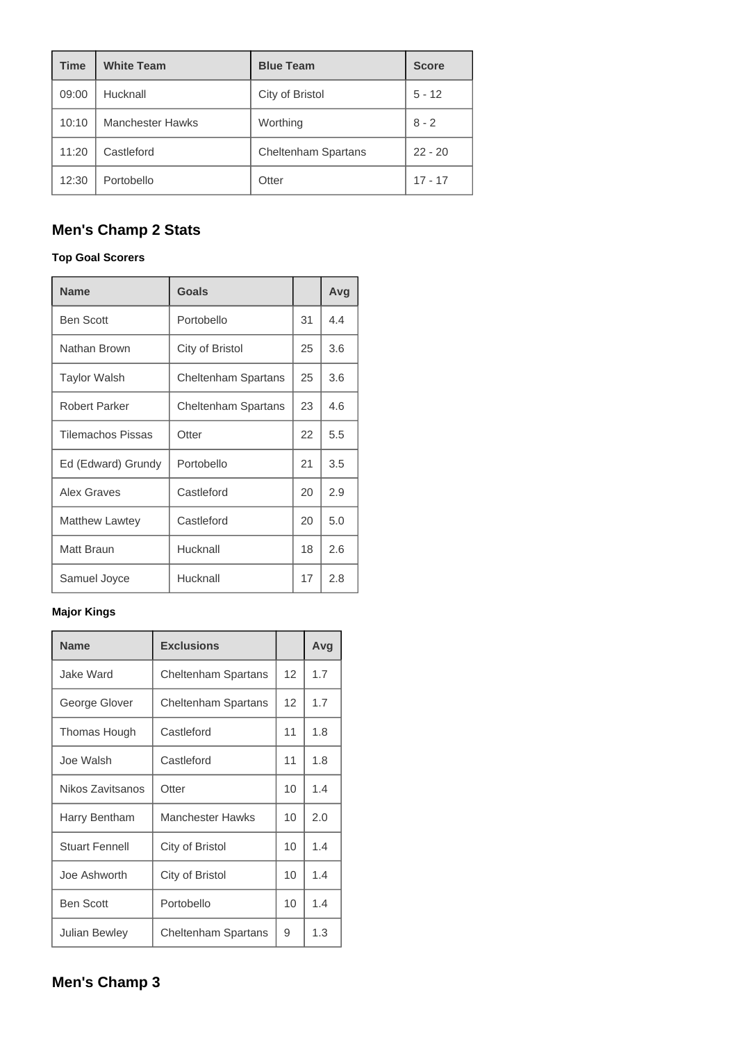| <b>Time</b> | <b>White Team</b>       | <b>Blue Team</b>           | <b>Score</b> |
|-------------|-------------------------|----------------------------|--------------|
| 09:00       | Hucknall                | City of Bristol            | $5 - 12$     |
| 10:10       | <b>Manchester Hawks</b> | Worthing                   | $8 - 2$      |
| 11:20       | Castleford              | <b>Cheltenham Spartans</b> | $22 - 20$    |
| 12:30       | Portobello              | Otter                      | $17 - 17$    |

# **Men's Champ 2 Stats**

#### **Top Goal Scorers**

| <b>Name</b>              | Goals                      |    | Avg |
|--------------------------|----------------------------|----|-----|
| <b>Ben Scott</b>         | Portobello                 | 31 | 4.4 |
| Nathan Brown             | City of Bristol            | 25 | 3.6 |
| <b>Taylor Walsh</b>      | <b>Cheltenham Spartans</b> | 25 | 3.6 |
| <b>Robert Parker</b>     | <b>Cheltenham Spartans</b> | 23 | 4.6 |
| <b>Tilemachos Pissas</b> | Otter                      | 22 | 5.5 |
| Ed (Edward) Grundy       | Portobello                 | 21 | 3.5 |
| Alex Graves              | Castleford                 | 20 | 2.9 |
| <b>Matthew Lawtey</b>    | Castleford                 | 20 | 5.0 |
| Matt Braun               | Hucknall                   | 18 | 2.6 |
| Samuel Joyce             | Hucknall                   | 17 | 2.8 |

#### **Major Kings**

| <b>Name</b>           | <b>Exclusions</b>          |    | Avg |
|-----------------------|----------------------------|----|-----|
| Jake Ward             | <b>Cheltenham Spartans</b> | 12 | 1.7 |
| George Glover         | <b>Cheltenham Spartans</b> | 12 | 1.7 |
| Thomas Hough          | Castleford                 | 11 | 1.8 |
| Joe Walsh             | Castleford                 | 11 | 1.8 |
| Nikos Zavitsanos      | Otter                      | 10 | 1.4 |
| Harry Bentham         | Manchester Hawks           | 10 | 2.0 |
| <b>Stuart Fennell</b> | City of Bristol            | 10 | 1.4 |
| Joe Ashworth          | City of Bristol            | 10 | 1.4 |
| <b>Ben Scott</b>      | Portobello                 | 10 | 1.4 |
| <b>Julian Bewley</b>  | <b>Cheltenham Spartans</b> | 9  | 1.3 |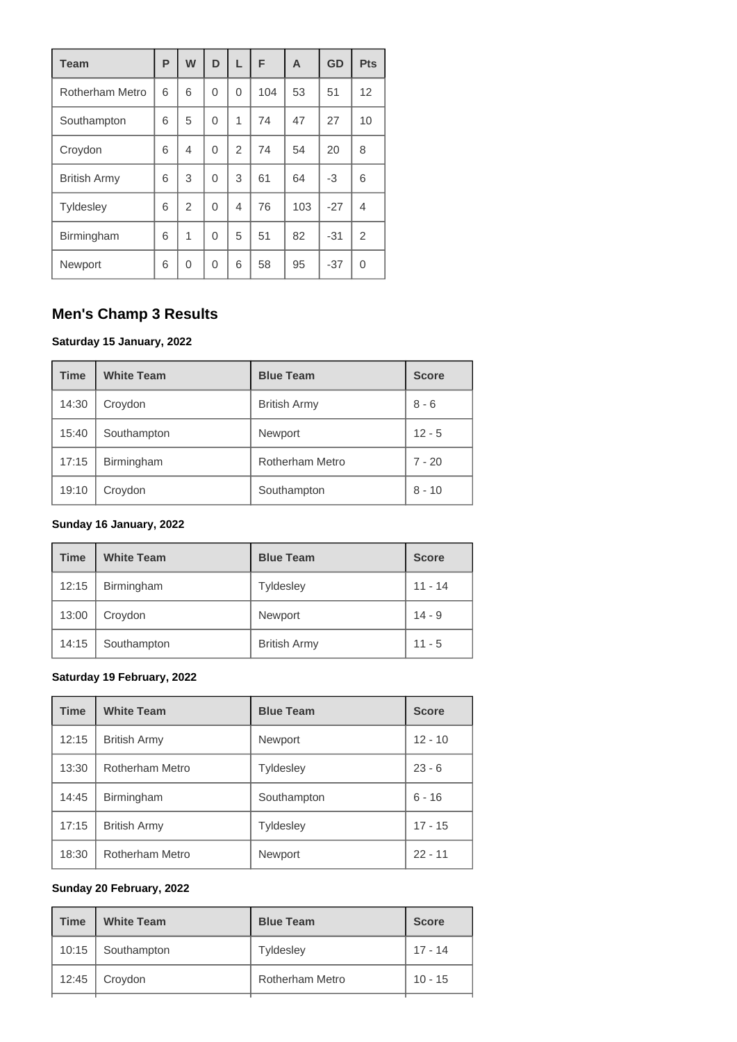| <b>Team</b>         | P | W              | D        | L              | F   | A   | GD    | <b>Pts</b>     |
|---------------------|---|----------------|----------|----------------|-----|-----|-------|----------------|
| Rotherham Metro     | 6 | 6              | 0        | 0              | 104 | 53  | 51    | 12             |
| Southampton         | 6 | 5              | $\Omega$ | 1              | 74  | 47  | 27    | 10             |
| Croydon             | 6 | $\overline{4}$ | 0        | $\overline{2}$ | 74  | 54  | 20    | 8              |
| <b>British Army</b> | 6 | 3              | 0        | 3              | 61  | 64  | -3    | 6              |
| <b>Tyldesley</b>    | 6 | $\overline{2}$ | 0        | 4              | 76  | 103 | $-27$ | 4              |
| Birmingham          | 6 | 1              | 0        | 5              | 51  | 82  | $-31$ | $\overline{2}$ |
| Newport             | 6 | $\Omega$       | 0        | 6              | 58  | 95  | $-37$ | 0              |

# **Men's Champ 3 Results**

#### **Saturday 15 January, 2022**

| <b>Time</b> | <b>White Team</b> | <b>Blue Team</b>    | <b>Score</b> |
|-------------|-------------------|---------------------|--------------|
| 14:30       | Croydon           | <b>British Army</b> | $8 - 6$      |
| 15:40       | Southampton       | Newport             | $12 - 5$     |
| 17:15       | Birmingham        | Rotherham Metro     | $7 - 20$     |
| 19:10       | Croydon           | Southampton         | $8 - 10$     |

# **Sunday 16 January, 2022**

| <b>Time</b> | <b>White Team</b> | <b>Blue Team</b>    | <b>Score</b> |
|-------------|-------------------|---------------------|--------------|
| 12:15       | Birmingham        | <b>Tyldesley</b>    | $11 - 14$    |
| 13:00       | Croydon           | Newport             | $14 - 9$     |
| 14:15       | Southampton       | <b>British Army</b> | $11 - 5$     |

### **Saturday 19 February, 2022**

| <b>Time</b> | <b>White Team</b>      | <b>Blue Team</b> | <b>Score</b> |
|-------------|------------------------|------------------|--------------|
| 12:15       | <b>British Army</b>    | Newport          | $12 - 10$    |
| 13:30       | Rotherham Metro        | <b>Tyldesley</b> | $23 - 6$     |
| 14:45       | <b>Birmingham</b>      | Southampton      | $6 - 16$     |
| 17:15       | <b>British Army</b>    | <b>Tyldesley</b> | $17 - 15$    |
| 18:30       | <b>Rotherham Metro</b> | Newport          | $22 - 11$    |

#### **Sunday 20 February, 2022**

| <b>Time</b> | <b>White Team</b> | <b>Blue Team</b> | <b>Score</b> |  |
|-------------|-------------------|------------------|--------------|--|
| 10:15       | Southampton       | <b>Tyldesley</b> | $17 - 14$    |  |
| 12:45       | Croydon           | Rotherham Metro  | $10 - 15$    |  |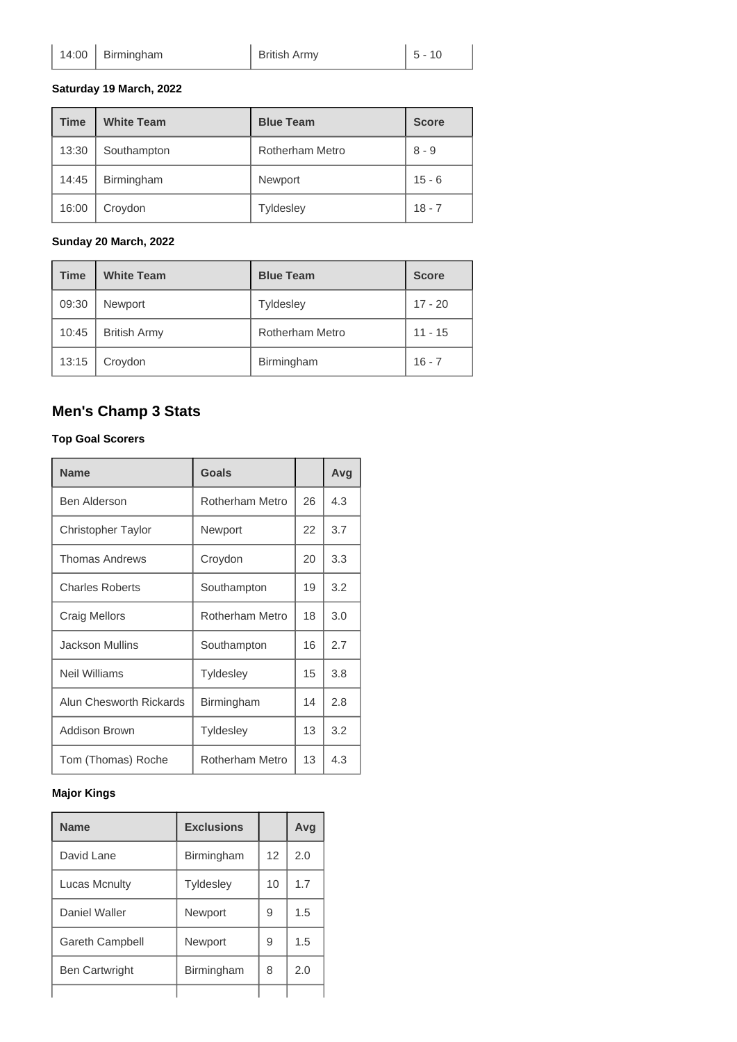**Saturday 19 March, 2022**

| <b>Time</b> | <b>White Team</b> | <b>Blue Team</b>       | <b>Score</b> |
|-------------|-------------------|------------------------|--------------|
| 13:30       | Southampton       | <b>Rotherham Metro</b> | $8 - 9$      |
| 14:45       | Birmingham        | Newport                | $15 - 6$     |
| 16:00       | Croydon           | <b>Tyldesley</b>       | $18 - 7$     |

**Sunday 20 March, 2022**

| <b>Time</b> | <b>White Team</b>   | <b>Blue Team</b>       | <b>Score</b> |
|-------------|---------------------|------------------------|--------------|
| 09:30       | <b>Newport</b>      | <b>Tyldesley</b>       | $17 - 20$    |
| 10:45       | <b>British Army</b> | <b>Rotherham Metro</b> | $11 - 15$    |
| 13:15       | Croydon             | Birmingham             | $16 - 7$     |

# **Men's Champ 3 Stats**

#### **Top Goal Scorers**

| <b>Name</b>               | Goals            |    | Avg |
|---------------------------|------------------|----|-----|
| Ben Alderson              | Rotherham Metro  | 26 | 4.3 |
| <b>Christopher Taylor</b> | Newport          | 22 | 3.7 |
| <b>Thomas Andrews</b>     | Croydon          | 20 | 3.3 |
| <b>Charles Roberts</b>    | Southampton      | 19 | 3.2 |
| <b>Craig Mellors</b>      | Rotherham Metro  | 18 | 3.0 |
| <b>Jackson Mullins</b>    | Southampton      | 16 | 2.7 |
| <b>Neil Williams</b>      | <b>Tyldesley</b> | 15 | 3.8 |
| Alun Chesworth Rickards   | Birmingham       | 14 | 2.8 |
| Addison Brown             | <b>Tyldesley</b> | 13 | 3.2 |
| Tom (Thomas) Roche        | Rotherham Metro  | 13 | 4.3 |

### **Major Kings**

| <b>Name</b>            | <b>Exclusions</b> |                 | Avg |
|------------------------|-------------------|-----------------|-----|
| David Lane             | Birmingham        | 12 <sup>2</sup> | 2.0 |
| Lucas Mcnulty          | <b>Tyldesley</b>  | 10              | 1.7 |
| Daniel Waller          | Newport           | 9               | 1.5 |
| <b>Gareth Campbell</b> | Newport           | 9               | 1.5 |
| <b>Ben Cartwright</b>  | Birmingham        | 8               | 2.0 |
|                        |                   |                 |     |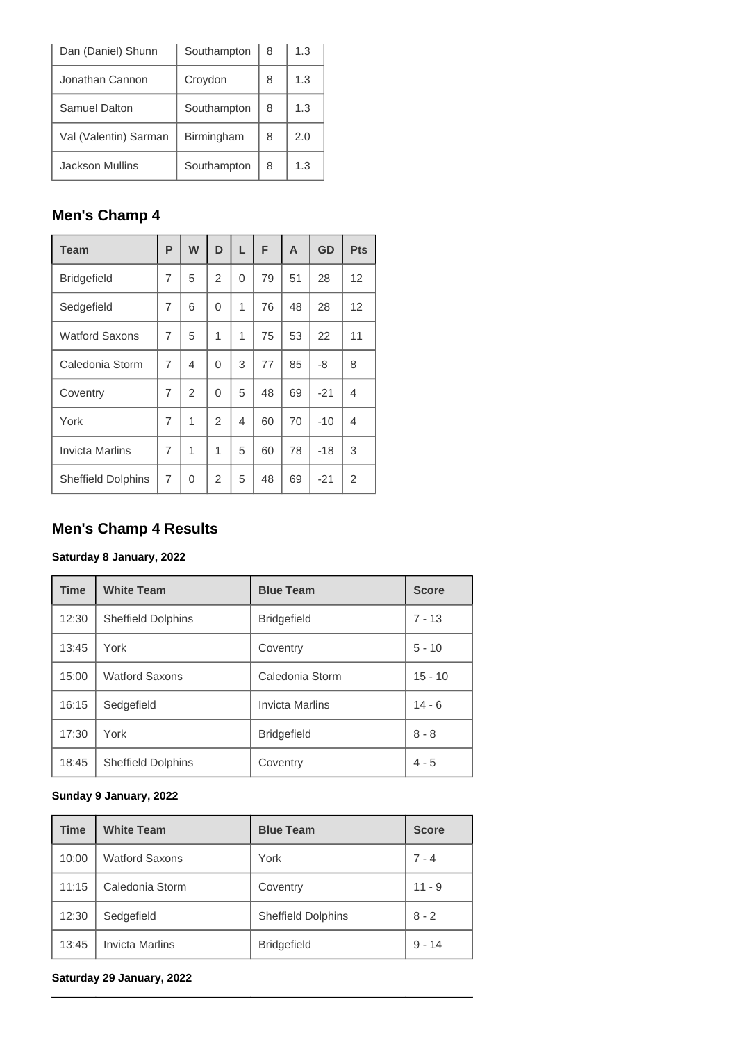| Dan (Daniel) Shunn    | Southampton | 8 | 1.3 |
|-----------------------|-------------|---|-----|
| Jonathan Cannon       | Croydon     | 8 | 1.3 |
| Samuel Dalton         | Southampton | 8 | 1.3 |
| Val (Valentin) Sarman | Birmingham  | 8 | 2.0 |
| Jackson Mullins       | Southampton | 8 | 1.3 |

# **Men's Champ 4**

| <b>Team</b>               | P | W              | D              | L | F  | A  | GD    | <b>Pts</b> |
|---------------------------|---|----------------|----------------|---|----|----|-------|------------|
| <b>Bridgefield</b>        | 7 | 5              | 2              | 0 | 79 | 51 | 28    | 12         |
| Sedgefield                | 7 | 6              | $\Omega$       | 1 | 76 | 48 | 28    | 12         |
| <b>Watford Saxons</b>     | 7 | 5              | 1              | 1 | 75 | 53 | 22    | 11         |
| Caledonia Storm           | 7 | $\overline{4}$ | 0              | 3 | 77 | 85 | -8    | 8          |
| Coventry                  | 7 | $\overline{2}$ | $\Omega$       | 5 | 48 | 69 | $-21$ | 4          |
| York                      | 7 | 1              | 2              | 4 | 60 | 70 | $-10$ | 4          |
| <b>Invicta Marlins</b>    | 7 | 1              | 1              | 5 | 60 | 78 | $-18$ | 3          |
| <b>Sheffield Dolphins</b> | 7 | $\Omega$       | $\overline{2}$ | 5 | 48 | 69 | $-21$ | 2          |

# **Men's Champ 4 Results**

#### **Saturday 8 January, 2022**

| <b>Time</b> | <b>White Team</b>         | <b>Blue Team</b>       | <b>Score</b> |
|-------------|---------------------------|------------------------|--------------|
| 12:30       | <b>Sheffield Dolphins</b> | <b>Bridgefield</b>     | $7 - 13$     |
| 13:45       | York                      | Coventry               | $5 - 10$     |
| 15:00       | <b>Watford Saxons</b>     | Caledonia Storm        | $15 - 10$    |
| 16:15       | Sedgefield                | <b>Invicta Marlins</b> | $14 - 6$     |
| 17:30       | York                      | <b>Bridgefield</b>     | $8 - 8$      |
| 18:45       | <b>Sheffield Dolphins</b> | Coventry               | $4 - 5$      |

#### **Sunday 9 January, 2022**

| <b>Time</b> | <b>White Team</b>      | <b>Blue Team</b>          | <b>Score</b> |
|-------------|------------------------|---------------------------|--------------|
| 10:00       | <b>Watford Saxons</b>  | York                      | $7 - 4$      |
| 11:15       | Caledonia Storm        | Coventry                  | $11 - 9$     |
| 12:30       | Sedgefield             | <b>Sheffield Dolphins</b> | $8 - 2$      |
| 13:45       | <b>Invicta Marlins</b> | <b>Bridgefield</b>        | $9 - 14$     |

#### **Saturday 29 January, 2022**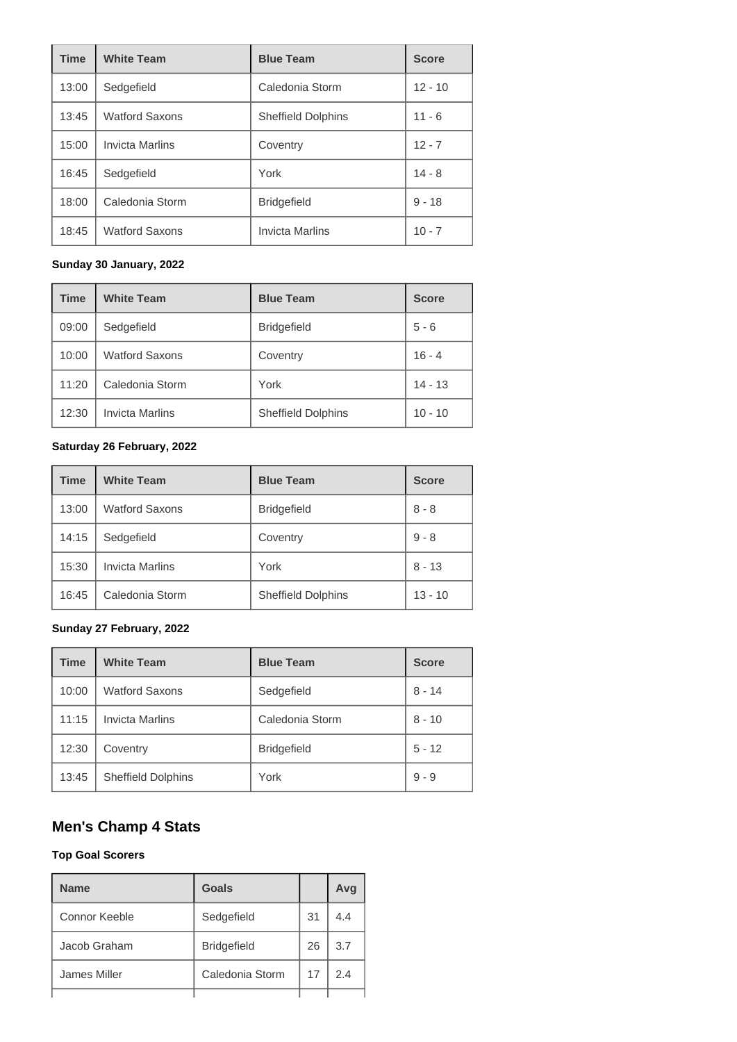| <b>Time</b> | <b>White Team</b>      | <b>Blue Team</b>          | <b>Score</b> |
|-------------|------------------------|---------------------------|--------------|
| 13:00       | Sedgefield             | Caledonia Storm           | $12 - 10$    |
| 13:45       | <b>Watford Saxons</b>  | <b>Sheffield Dolphins</b> | $11 - 6$     |
| 15:00       | <b>Invicta Marlins</b> | Coventry                  | $12 - 7$     |
| 16:45       | Sedgefield             | York                      | $14 - 8$     |
| 18:00       | Caledonia Storm        | <b>Bridgefield</b>        | $9 - 18$     |
| 18:45       | <b>Watford Saxons</b>  | <b>Invicta Marlins</b>    | $10 - 7$     |

#### **Sunday 30 January, 2022**

| <b>Time</b> | <b>White Team</b>      | <b>Blue Team</b>          | <b>Score</b> |
|-------------|------------------------|---------------------------|--------------|
| 09:00       | Sedgefield             | <b>Bridgefield</b>        | $5 - 6$      |
| 10:00       | <b>Watford Saxons</b>  | Coventry                  | $16 - 4$     |
| 11:20       | Caledonia Storm        | York                      | $14 - 13$    |
| 12:30       | <b>Invicta Marlins</b> | <b>Sheffield Dolphins</b> | $10 - 10$    |

### **Saturday 26 February, 2022**

| <b>Time</b> | <b>White Team</b>      | <b>Blue Team</b>          | <b>Score</b> |
|-------------|------------------------|---------------------------|--------------|
| 13:00       | <b>Watford Saxons</b>  | <b>Bridgefield</b>        | $8 - 8$      |
| 14:15       | Sedgefield             | Coventry                  | $9 - 8$      |
| 15:30       | <b>Invicta Marlins</b> | York                      | $8 - 13$     |
| 16:45       | Caledonia Storm        | <b>Sheffield Dolphins</b> | $13 - 10$    |

### **Sunday 27 February, 2022**

| <b>Time</b> | <b>White Team</b>         | <b>Blue Team</b>   | <b>Score</b> |
|-------------|---------------------------|--------------------|--------------|
| 10:00       | <b>Watford Saxons</b>     | Sedgefield         | $8 - 14$     |
| 11:15       | <b>Invicta Marlins</b>    | Caledonia Storm    | $8 - 10$     |
| 12:30       | Coventry                  | <b>Bridgefield</b> | $5 - 12$     |
| 13:45       | <b>Sheffield Dolphins</b> | York               | $9 - 9$      |

# **Men's Champ 4 Stats**

#### **Top Goal Scorers**

| <b>Name</b>   | Goals              |    | Avq |
|---------------|--------------------|----|-----|
| Connor Keeble | Sedgefield         | 31 | 4.4 |
| Jacob Graham  | <b>Bridgefield</b> | 26 | 3.7 |
| James Miller  | Caledonia Storm    | 17 | 24  |
|               |                    |    |     |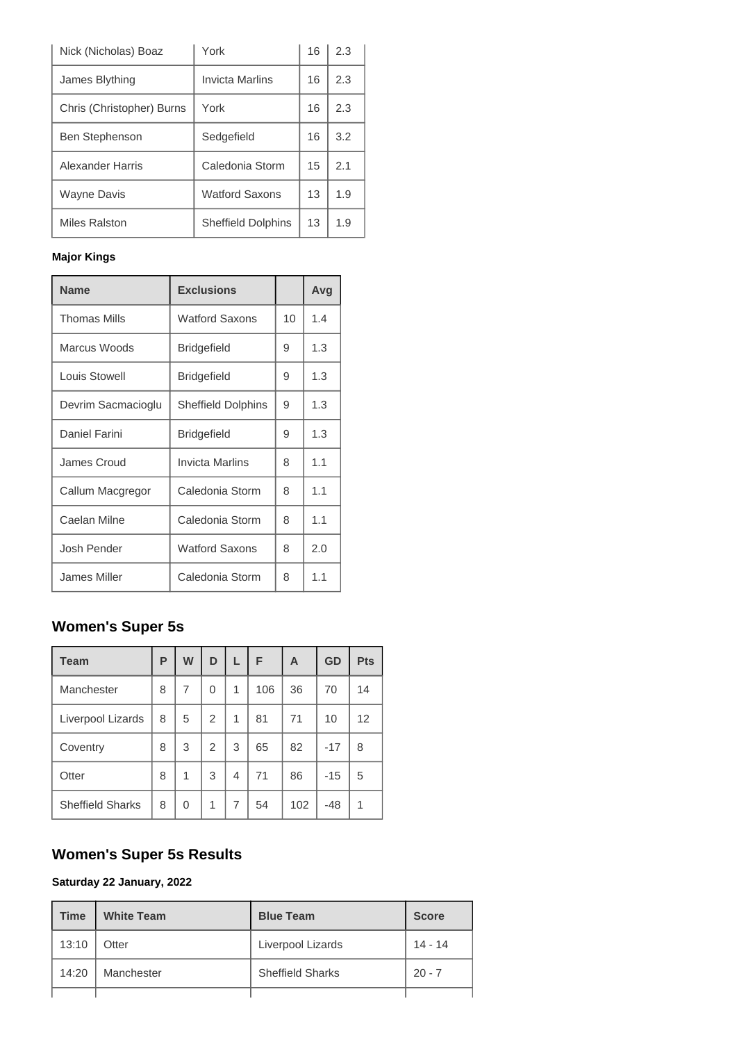| Nick (Nicholas) Boaz      | York                      | 16 | 2.3 |
|---------------------------|---------------------------|----|-----|
| James Blything            | <b>Invicta Marlins</b>    | 16 | 2.3 |
| Chris (Christopher) Burns | York                      | 16 | 2.3 |
| <b>Ben Stephenson</b>     | Sedgefield                | 16 | 3.2 |
| Alexander Harris          | Caledonia Storm           | 15 | 2.1 |
| <b>Wayne Davis</b>        | <b>Watford Saxons</b>     | 13 | 1.9 |
| Miles Ralston             | <b>Sheffield Dolphins</b> | 13 | 1.9 |

### **Major Kings**

| <b>Name</b>         | <b>Exclusions</b>         |    | Avg |
|---------------------|---------------------------|----|-----|
| <b>Thomas Mills</b> | <b>Watford Saxons</b>     | 10 | 1.4 |
| Marcus Woods        | <b>Bridgefield</b>        | 9  | 1.3 |
| Louis Stowell       | <b>Bridgefield</b>        | 9  | 1.3 |
| Devrim Sacmacioglu  | <b>Sheffield Dolphins</b> | 9  | 1.3 |
| Daniel Farini       | <b>Bridgefield</b>        | 9  | 1.3 |
| James Croud         | Invicta Marlins           | 8  | 1.1 |
| Callum Macgregor    | Caledonia Storm           | 8  | 1.1 |
| Caelan Milne        | Caledonia Storm           | 8  | 1.1 |
| Josh Pender         | <b>Watford Saxons</b>     | 8  | 2.0 |
| James Miller        | Caledonia Storm           | 8  | 11  |

# **Women's Super 5s**

| <b>Team</b>             | P | W | D              | L              | F   | A   | GD    | Pts |
|-------------------------|---|---|----------------|----------------|-----|-----|-------|-----|
| Manchester              | 8 | 7 | 0              | 1              | 106 | 36  | 70    | 14  |
| Liverpool Lizards       | 8 | 5 | 2              | 1              | 81  | 71  | 10    | 12  |
| Coventry                | 8 | 3 | $\overline{2}$ | 3              | 65  | 82  | $-17$ | 8   |
| Otter                   | 8 | 1 | 3              | 4              | 71  | 86  | $-15$ | 5   |
| <b>Sheffield Sharks</b> | 8 | 0 | 1              | $\overline{7}$ | 54  | 102 | -48   | 1   |

# **Women's Super 5s Results**

# **Saturday 22 January, 2022**

| <b>Time</b> | <b>White Team</b> | <b>Blue Team</b>        | <b>Score</b> |
|-------------|-------------------|-------------------------|--------------|
| 13:10       | Otter             | Liverpool Lizards       | $14 - 14$    |
| 14:20       | Manchester        | <b>Sheffield Sharks</b> | $20 - 7$     |
|             |                   |                         |              |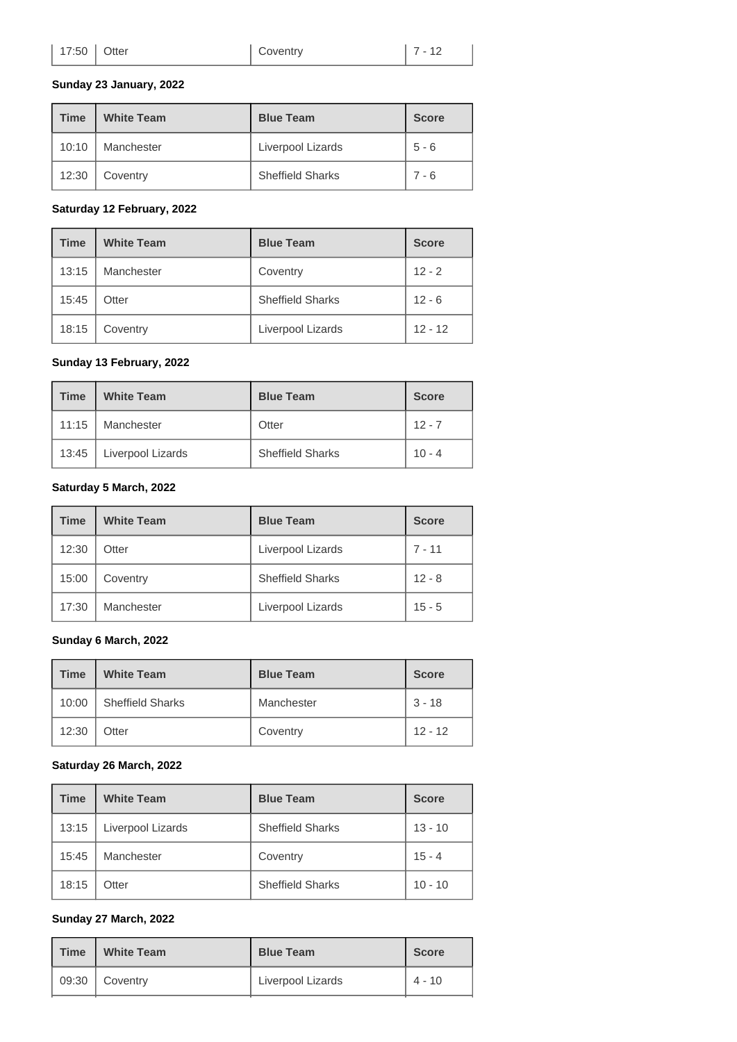| Coventry | $7 - 12$ |
|----------|----------|
|----------|----------|

#### **Sunday 23 January, 2022**

| Time  | <b>White Team</b> | <b>Blue Team</b>        | <b>Score</b> |
|-------|-------------------|-------------------------|--------------|
| 10:10 | Manchester        | Liverpool Lizards       | $5 - 6$      |
| 12:30 | Coventry          | <b>Sheffield Sharks</b> | $7 - 6$      |

#### **Saturday 12 February, 2022**

| <b>Time</b> | <b>White Team</b> | <b>Blue Team</b>        | <b>Score</b> |
|-------------|-------------------|-------------------------|--------------|
| 13:15       | Manchester        | Coventry                | $12 - 2$     |
| 15:45       | Otter             | <b>Sheffield Sharks</b> | $12 - 6$     |
| 18:15       | Coventry          | Liverpool Lizards       | $12 - 12$    |

#### **Sunday 13 February, 2022**

| <b>Time</b> | <b>White Team</b> | <b>Blue Team</b>        | <b>Score</b> |
|-------------|-------------------|-------------------------|--------------|
| 11:15       | Manchester        | Otter                   | $12 - 7$     |
| 13:45       | Liverpool Lizards | <b>Sheffield Sharks</b> | $10 - 4$     |

#### **Saturday 5 March, 2022**

| <b>Time</b> | <b>White Team</b> | <b>Blue Team</b>        | <b>Score</b> |
|-------------|-------------------|-------------------------|--------------|
| 12:30       | Otter             | Liverpool Lizards       | $7 - 11$     |
| 15:00       | Coventry          | <b>Sheffield Sharks</b> | $12 - 8$     |
| 17:30       | Manchester        | Liverpool Lizards       | $15 - 5$     |

#### **Sunday 6 March, 2022**

| <b>Time</b> | <b>White Team</b>       | <b>Blue Team</b> | <b>Score</b> |  |
|-------------|-------------------------|------------------|--------------|--|
| 10:00       | <b>Sheffield Sharks</b> | Manchester       | $3 - 18$     |  |
| 12:30       | Otter                   | Coventry         | $12 - 12$    |  |

#### **Saturday 26 March, 2022**

| <b>Time</b> | <b>White Team</b> | <b>Blue Team</b>        | <b>Score</b> |
|-------------|-------------------|-------------------------|--------------|
| 13:15       | Liverpool Lizards | <b>Sheffield Sharks</b> | $13 - 10$    |
| 15:45       | Manchester        | Coventry                | $15 - 4$     |
| 18:15       | Otter             | <b>Sheffield Sharks</b> | $10 - 10$    |

#### **Sunday 27 March, 2022**

| <b>Time</b> | <b>White Team</b> | <b>Blue Team</b>  | <b>Score</b> |
|-------------|-------------------|-------------------|--------------|
| 09:30       | Coventry          | Liverpool Lizards | $4 - 10$     |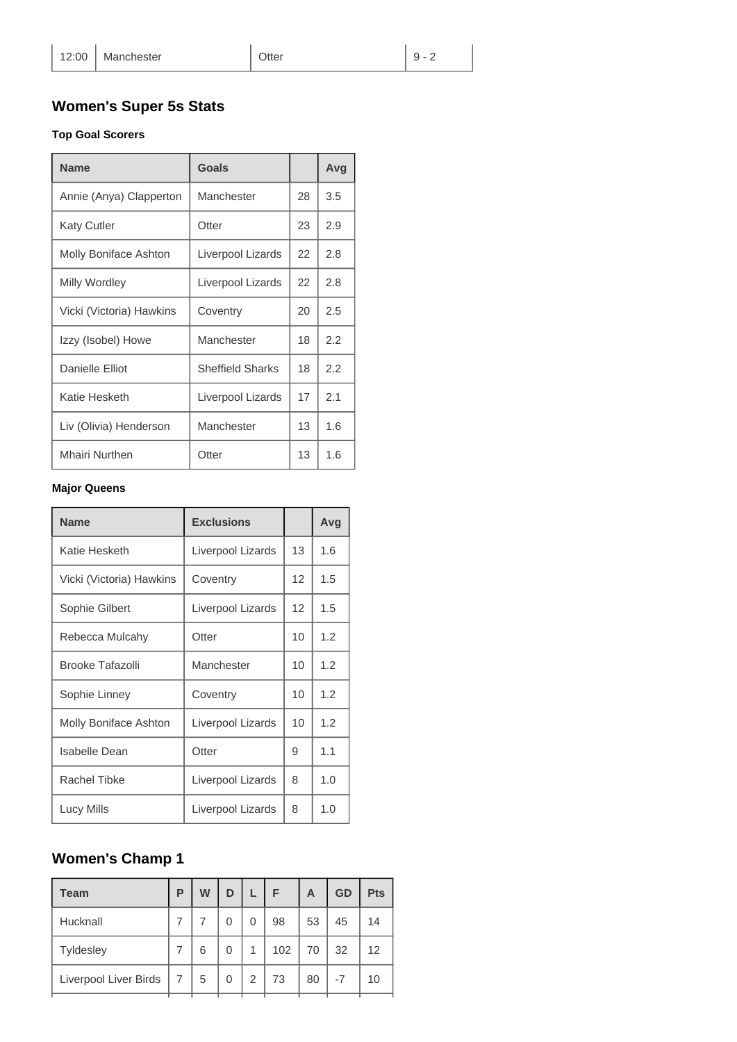# **Women's Super 5s Stats**

### **Top Goal Scorers**

| <b>Name</b>              | Goals                   |    | Avg |
|--------------------------|-------------------------|----|-----|
| Annie (Anya) Clapperton  | Manchester              | 28 | 3.5 |
| <b>Katy Cutler</b>       | Otter                   | 23 | 2.9 |
| Molly Boniface Ashton    | Liverpool Lizards       | 22 | 2.8 |
| Milly Wordley            | Liverpool Lizards       | 22 | 2.8 |
| Vicki (Victoria) Hawkins | Coventry                | 20 | 2.5 |
| Izzy (Isobel) Howe       | Manchester              | 18 | 2.2 |
| Danielle Elliot          | <b>Sheffield Sharks</b> | 18 | 2.2 |
| Katie Hesketh            | Liverpool Lizards       | 17 | 2.1 |
| Liv (Olivia) Henderson   | Manchester              | 13 | 1.6 |
| <b>Mhairi Nurthen</b>    | Otter                   | 13 | 1.6 |

#### **Major Queens**

| <b>Name</b>              | <b>Exclusions</b> |                   | Avg |
|--------------------------|-------------------|-------------------|-----|
| Katie Hesketh            | Liverpool Lizards | 13                | 1.6 |
| Vicki (Victoria) Hawkins | Coventry          | $12 \overline{ }$ | 1.5 |
| Sophie Gilbert           | Liverpool Lizards | $12 \overline{ }$ | 1.5 |
| Rebecca Mulcahy          | Otter             | 10                | 1.2 |
| Brooke Tafazolli         | Manchester        | 10                | 1.2 |
| Sophie Linney            | Coventry          | 10                | 1.2 |
| Molly Boniface Ashton    | Liverpool Lizards | 10                | 1.2 |
| Isabelle Dean            | Otter             | 9                 | 1.1 |
| <b>Rachel Tibke</b>      | Liverpool Lizards | 8                 | 1.0 |
| Lucy Mills               | Liverpool Lizards | 8                 | 1.0 |

# **Women's Champ 1**

| <b>Team</b>           | P | W | D |   | F   | A  | GD | <b>Pts</b> |
|-----------------------|---|---|---|---|-----|----|----|------------|
| Hucknall              |   |   | 0 | 0 | 98  | 53 | 45 | 14         |
| <b>Tyldesley</b>      |   | 6 | 0 | 1 | 102 | 70 | 32 | 12         |
| Liverpool Liver Birds | 7 | 5 | 0 | 2 | 73  | 80 | -7 | 10         |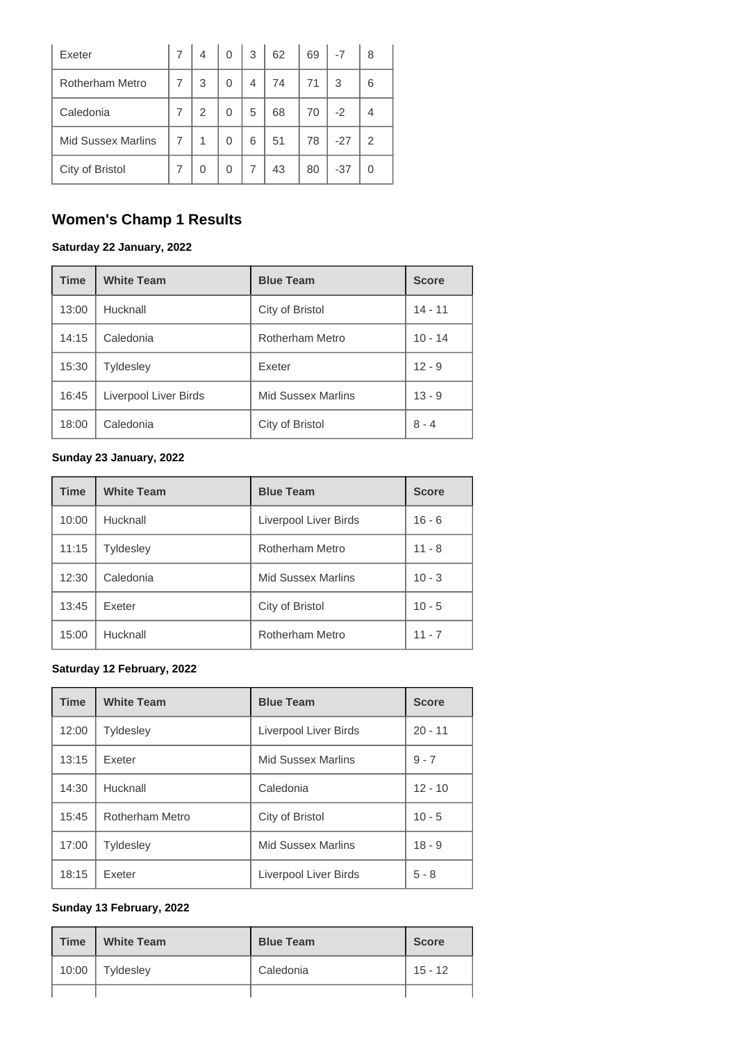| Exeter                    |   | 4 | 0 | 3 | 62 | 69 | $-7$  | 8 |
|---------------------------|---|---|---|---|----|----|-------|---|
| <b>Rotherham Metro</b>    |   | 3 | 0 | 4 | 74 | 71 | 3     | 6 |
| Caledonia                 | 7 | 2 | 0 | 5 | 68 | 70 | $-2$  | 4 |
| <b>Mid Sussex Marlins</b> | 7 | 1 | 0 | 6 | 51 | 78 | $-27$ | 2 |
| City of Bristol           | 7 | 0 | 0 | 7 | 43 | 80 | $-37$ | 0 |

# **Women's Champ 1 Results**

#### **Saturday 22 January, 2022**

| <b>Time</b> | <b>White Team</b>     | <b>Blue Team</b>          | <b>Score</b> |
|-------------|-----------------------|---------------------------|--------------|
| 13:00       | Hucknall              | City of Bristol           | $14 - 11$    |
| 14:15       | Caledonia             | Rotherham Metro           | $10 - 14$    |
| 15:30       | <b>Tyldesley</b>      | Exeter                    | $12 - 9$     |
| 16:45       | Liverpool Liver Birds | <b>Mid Sussex Marlins</b> | $13 - 9$     |
| 18:00       | Caledonia             | City of Bristol           | $8 - 4$      |

### **Sunday 23 January, 2022**

| <b>Time</b> | <b>White Team</b> | <b>Blue Team</b>          | <b>Score</b> |
|-------------|-------------------|---------------------------|--------------|
| 10:00       | Hucknall          | Liverpool Liver Birds     | $16 - 6$     |
| 11:15       | <b>Tyldesley</b>  | <b>Rotherham Metro</b>    | $11 - 8$     |
| 12:30       | Caledonia         | <b>Mid Sussex Marlins</b> | $10 - 3$     |
| 13:45       | Exeter            | City of Bristol           | $10 - 5$     |
| 15:00       | Hucknall          | Rotherham Metro           | $11 - 7$     |

#### **Saturday 12 February, 2022**

| <b>Time</b> | <b>White Team</b> | <b>Blue Team</b>          | <b>Score</b> |
|-------------|-------------------|---------------------------|--------------|
| 12:00       | <b>Tyldesley</b>  | Liverpool Liver Birds     | $20 - 11$    |
| 13:15       | Exeter            | <b>Mid Sussex Marlins</b> | $9 - 7$      |
| 14:30       | Hucknall          | Caledonia                 | $12 - 10$    |
| 15:45       | Rotherham Metro   | City of Bristol           | $10 - 5$     |
| 17:00       | <b>Tyldesley</b>  | <b>Mid Sussex Marlins</b> | $18 - 9$     |
| 18:15       | Exeter            | Liverpool Liver Birds     | $5 - 8$      |

#### **Sunday 13 February, 2022**

| <b>Time</b> | <b>White Team</b><br>н | <b>Blue Team</b> | <b>Score</b> |
|-------------|------------------------|------------------|--------------|
| 10:00       | Tyldesley              | Caledonia        | $15 - 12$    |
|             |                        |                  |              |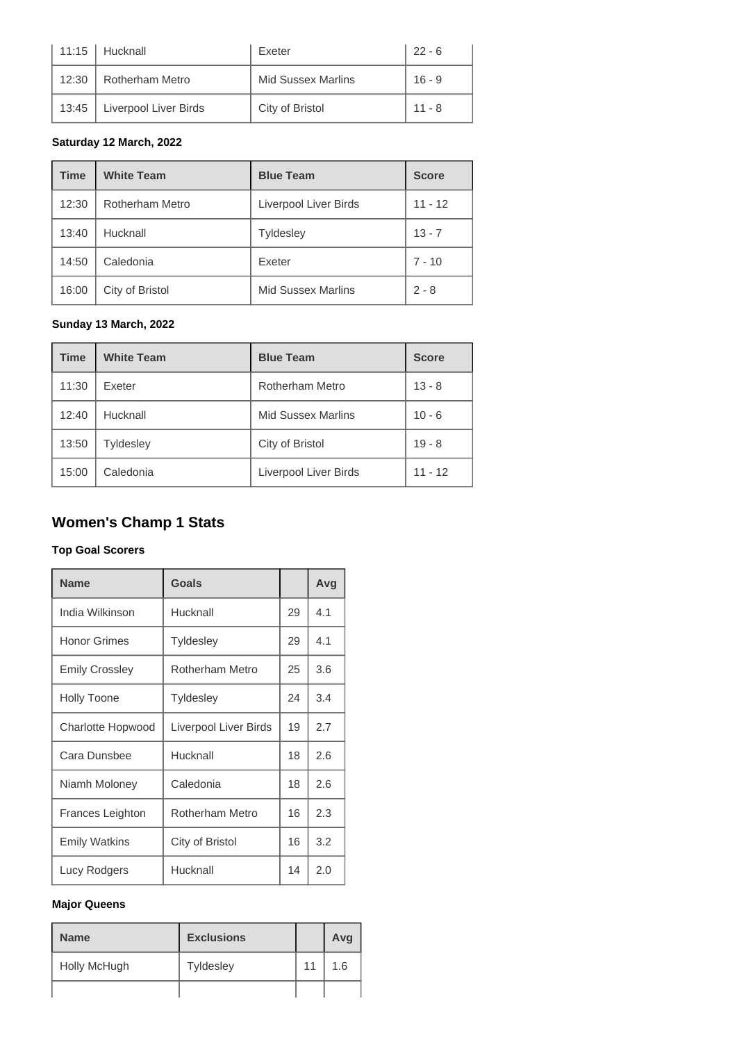| 11:15 | Hucknall              | Exeter                    | $22 - 6$ |
|-------|-----------------------|---------------------------|----------|
| 12:30 | Rotherham Metro       | <b>Mid Sussex Marlins</b> | $16 - 9$ |
| 13:45 | Liverpool Liver Birds | City of Bristol           | $11 - 8$ |

#### **Saturday 12 March, 2022**

| <b>Time</b> | <b>White Team</b> | <b>Blue Team</b>          | <b>Score</b> |
|-------------|-------------------|---------------------------|--------------|
| 12:30       | Rotherham Metro   | Liverpool Liver Birds     | $11 - 12$    |
| 13:40       | Hucknall          | <b>Tyldesley</b>          | $13 - 7$     |
| 14:50       | Caledonia         | Exeter                    | $7 - 10$     |
| 16:00       | City of Bristol   | <b>Mid Sussex Marlins</b> | $2 - 8$      |

#### **Sunday 13 March, 2022**

| <b>Time</b> | <b>White Team</b> | <b>Blue Team</b>          | <b>Score</b> |
|-------------|-------------------|---------------------------|--------------|
| 11:30       | Exeter            | Rotherham Metro           | $13 - 8$     |
| 12:40       | Hucknall          | <b>Mid Sussex Marlins</b> | $10 - 6$     |
| 13:50       | <b>Tyldesley</b>  | City of Bristol           | $19 - 8$     |
| 15:00       | Caledonia         | Liverpool Liver Birds     | $11 - 12$    |

# **Women's Champ 1 Stats**

#### **Top Goal Scorers**

| <b>Name</b>           | <b>Goals</b>          |    | Avg |
|-----------------------|-----------------------|----|-----|
| India Wilkinson       | Hucknall              | 29 | 4.1 |
| <b>Honor Grimes</b>   | <b>Tyldesley</b>      | 29 | 4.1 |
| <b>Emily Crossley</b> | Rotherham Metro       | 25 | 3.6 |
| <b>Holly Toone</b>    | <b>Tyldesley</b>      | 24 | 3.4 |
| Charlotte Hopwood     | Liverpool Liver Birds | 19 | 2.7 |
| Cara Dunsbee          | Hucknall              | 18 | 2.6 |
| Niamh Moloney         | Caledonia             | 18 | 2.6 |
| Frances Leighton      | Rotherham Metro       | 16 | 2.3 |
| <b>Emily Watkins</b>  | City of Bristol       | 16 | 3.2 |
| Lucy Rodgers          | Hucknall              | 14 | 2.0 |

#### **Major Queens**

| <b>Name</b>  | <b>Exclusions</b> |    | Avg |
|--------------|-------------------|----|-----|
| Holly McHugh | Tyldesley         | 11 | 1.6 |
|              |                   |    |     |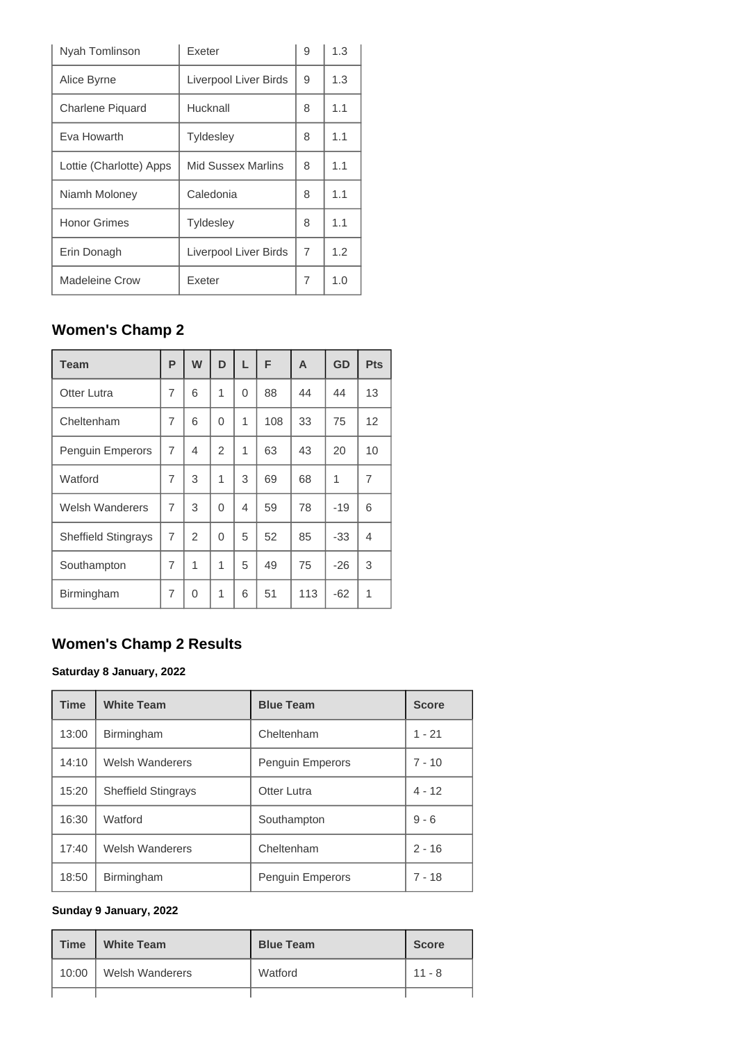| Nyah Tomlinson          | Exeter                | 9 | 1.3 |
|-------------------------|-----------------------|---|-----|
| Alice Byrne             | Liverpool Liver Birds | 9 | 1.3 |
| Charlene Piquard        | Hucknall              | 8 | 1.1 |
| Eva Howarth             | <b>Tyldesley</b>      | 8 | 1.1 |
| Lottie (Charlotte) Apps | Mid Sussex Marlins    | 8 | 1.1 |
| Niamh Moloney           | Caledonia             | 8 | 1.1 |
| <b>Honor Grimes</b>     | <b>Tyldesley</b>      | 8 | 1.1 |
| Erin Donagh             | Liverpool Liver Birds | 7 | 1.2 |
| <b>Madeleine Crow</b>   | Exeter                | 7 | 1.0 |

# **Women's Champ 2**

| Team                       | P              | W              | D            | L | F   | A   | GD    | <b>Pts</b> |
|----------------------------|----------------|----------------|--------------|---|-----|-----|-------|------------|
| <b>Otter Lutra</b>         | 7              | 6              | 1            | 0 | 88  | 44  | 44    | 13         |
| Cheltenham                 | 7              | 6              | $\Omega$     | 1 | 108 | 33  | 75    | 12         |
| Penguin Emperors           | $\overline{7}$ | 4              | 2            | 1 | 63  | 43  | 20    | 10         |
| Watford                    | 7              | 3              | 1            | 3 | 69  | 68  | 1     | 7          |
| <b>Welsh Wanderers</b>     | 7              | 3              | $\Omega$     | 4 | 59  | 78  | -19   | 6          |
| <b>Sheffield Stingrays</b> | $\overline{7}$ | $\overline{2}$ | $\Omega$     | 5 | 52  | 85  | -33   | 4          |
| Southampton                | 7              | 1              | 1            | 5 | 49  | 75  | $-26$ | 3          |
| Birmingham                 | 7              | 0              | $\mathbf{1}$ | 6 | 51  | 113 | -62   | 1          |

# **Women's Champ 2 Results**

#### **Saturday 8 January, 2022**

| <b>Time</b> | <b>White Team</b>          | <b>Blue Team</b> | <b>Score</b> |
|-------------|----------------------------|------------------|--------------|
| 13:00       | <b>Birmingham</b>          | Cheltenham       | $1 - 21$     |
| 14:10       | <b>Welsh Wanderers</b>     | Penguin Emperors | $7 - 10$     |
| 15:20       | <b>Sheffield Stingrays</b> | Otter Lutra      | $4 - 12$     |
| 16:30       | Watford                    | Southampton      | $9 - 6$      |
| 17:40       | <b>Welsh Wanderers</b>     | Cheltenham       | $2 - 16$     |
| 18:50       | Birmingham                 | Penguin Emperors | 7 - 18       |

#### **Sunday 9 January, 2022**

| <b>Time</b> | <b>White Team</b>      | <b>Blue Team</b> | <b>Score</b> |
|-------------|------------------------|------------------|--------------|
| 10:00       | <b>Welsh Wanderers</b> | Watford          | $11 - 8$     |
|             |                        |                  |              |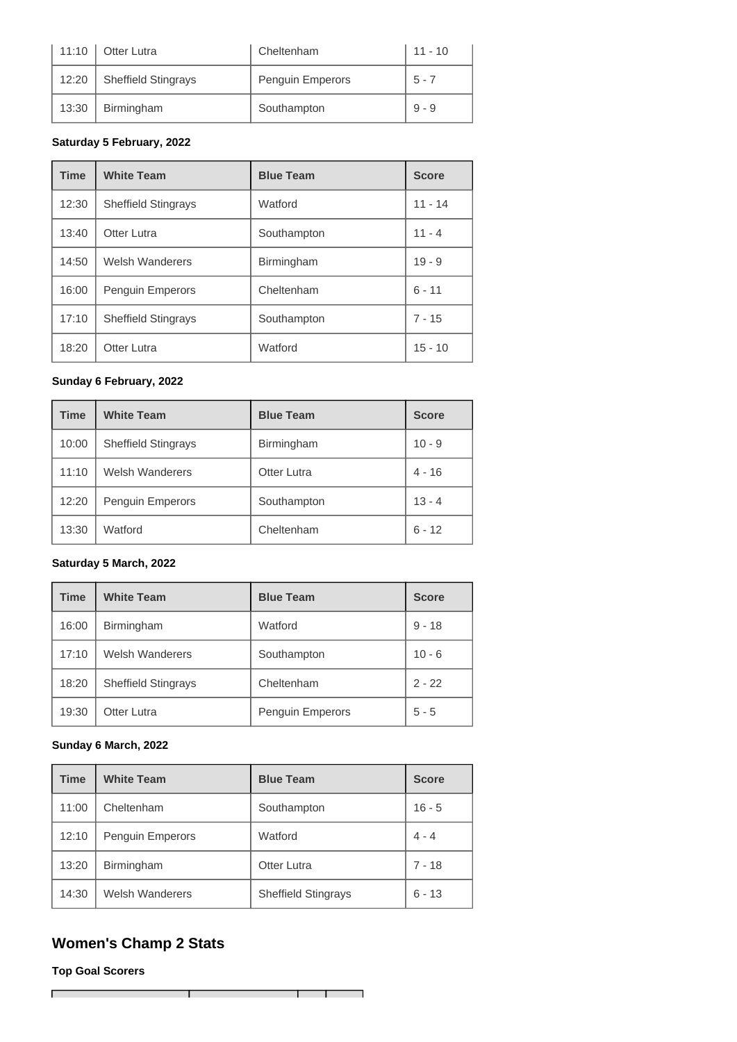| 11:10 | Otter Lutra                | Cheltenham       | $11 - 10$ |
|-------|----------------------------|------------------|-----------|
| 12:20 | <b>Sheffield Stingrays</b> | Penguin Emperors | $5 - 7$   |
| 13:30 | Birmingham                 | Southampton      | $9 - 9$   |

#### **Saturday 5 February, 2022**

| <b>Time</b> | <b>White Team</b>          | <b>Blue Team</b> | <b>Score</b> |
|-------------|----------------------------|------------------|--------------|
| 12:30       | <b>Sheffield Stingrays</b> | Watford          | $11 - 14$    |
| 13:40       | Otter Lutra                | Southampton      | $11 - 4$     |
| 14:50       | <b>Welsh Wanderers</b>     | Birmingham       | $19 - 9$     |
| 16:00       | Penguin Emperors           | Cheltenham       | $6 - 11$     |
| 17:10       | <b>Sheffield Stingrays</b> | Southampton      | 7 - 15       |
| 18:20       | Otter Lutra                | Watford          | $15 - 10$    |

#### **Sunday 6 February, 2022**

| <b>Time</b> | <b>White Team</b>          | <b>Blue Team</b>   | <b>Score</b> |
|-------------|----------------------------|--------------------|--------------|
| 10:00       | <b>Sheffield Stingrays</b> | Birmingham         | $10 - 9$     |
| 11:10       | <b>Welsh Wanderers</b>     | <b>Otter Lutra</b> | $4 - 16$     |
| 12:20       | Penguin Emperors           | Southampton        | $13 - 4$     |
| 13:30       | Watford                    | Cheltenham         | $6 - 12$     |

#### **Saturday 5 March, 2022**

| <b>Time</b> | <b>White Team</b>          | <b>Blue Team</b> | <b>Score</b> |
|-------------|----------------------------|------------------|--------------|
| 16:00       | Birmingham                 | Watford          | $9 - 18$     |
| 17:10       | <b>Welsh Wanderers</b>     | Southampton      | $10 - 6$     |
| 18:20       | <b>Sheffield Stingrays</b> | Cheltenham       | $2 - 22$     |
| 19:30       | Otter Lutra                | Penguin Emperors | $5 - 5$      |

### **Sunday 6 March, 2022**

| <b>Time</b> | <b>White Team</b>      | <b>Blue Team</b>           | <b>Score</b> |
|-------------|------------------------|----------------------------|--------------|
| 11:00       | Cheltenham             | Southampton                | $16 - 5$     |
| 12:10       | Penguin Emperors       | Watford                    | $4 - 4$      |
| 13:20       | Birmingham             | <b>Otter Lutra</b>         | 7 - 18       |
| 14:30       | <b>Welsh Wanderers</b> | <b>Sheffield Stingrays</b> | $6 - 13$     |

# **Women's Champ 2 Stats**

Т

**Top Goal Scorers**

 $\overline{\Gamma}$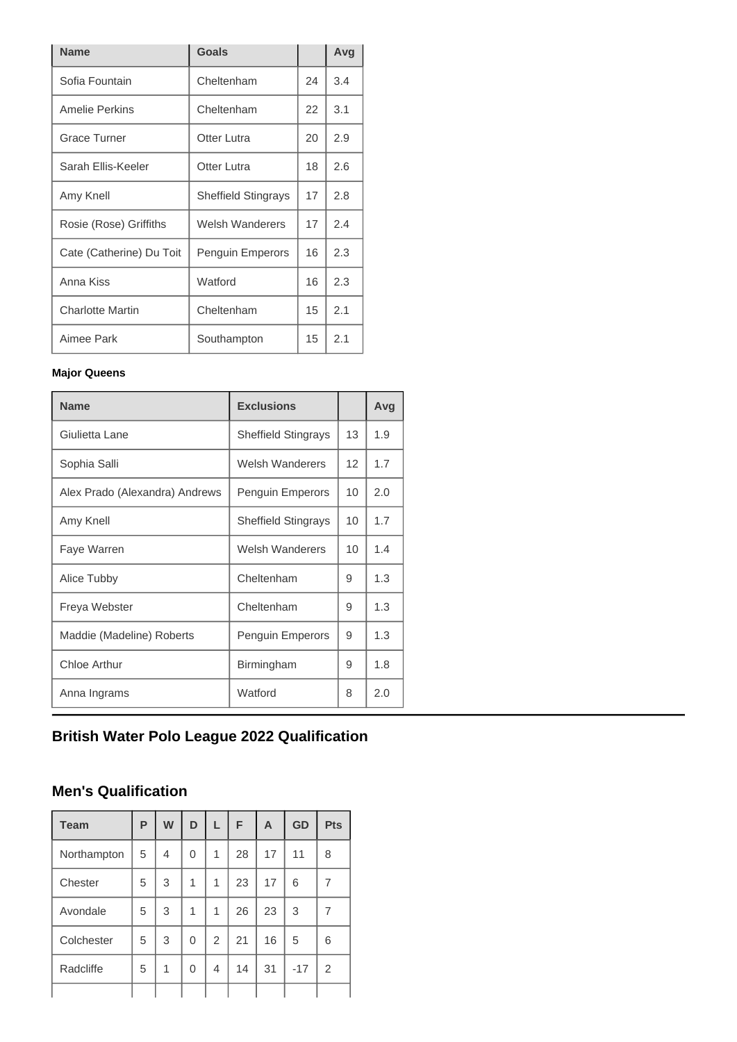| <b>Name</b>              | <b>Goals</b>               |    | Avg |
|--------------------------|----------------------------|----|-----|
| Sofia Fountain           | Cheltenham                 | 24 | 3.4 |
| Amelie Perkins           | Cheltenham                 | 22 | 3.1 |
| <b>Grace Turner</b>      | <b>Otter Lutra</b>         | 20 | 2.9 |
| Sarah Ellis-Keeler       | Otter Lutra                | 18 | 2.6 |
| Amy Knell                | <b>Sheffield Stingrays</b> | 17 | 2.8 |
| Rosie (Rose) Griffiths   | Welsh Wanderers            | 17 | 2.4 |
| Cate (Catherine) Du Toit | Penguin Emperors           | 16 | 2.3 |
| Anna Kiss                | Watford                    | 16 | 2.3 |
| <b>Charlotte Martin</b>  | Cheltenham                 | 15 | 2.1 |
| Aimee Park               | Southampton                | 15 | 2.1 |

#### **Major Queens**

| <b>Name</b>                    | <b>Exclusions</b>          |                 | Avg |
|--------------------------------|----------------------------|-----------------|-----|
| Giulietta Lane                 | <b>Sheffield Stingrays</b> | 13              | 1.9 |
| Sophia Salli                   | Welsh Wanderers            | 12 <sup>2</sup> | 1.7 |
| Alex Prado (Alexandra) Andrews | <b>Penguin Emperors</b>    | 10              | 2.0 |
| Amy Knell                      | <b>Sheffield Stingrays</b> | 10              | 1.7 |
| Faye Warren                    | Welsh Wanderers            | 10 <sup>1</sup> | 1.4 |
| Alice Tubby                    | Cheltenham                 | 9               | 1.3 |
| Freya Webster                  | Cheltenham                 | 9               | 1.3 |
| Maddie (Madeline) Roberts      | <b>Penguin Emperors</b>    | 9               | 1.3 |
| Chloe Arthur                   | Birmingham                 | 9               | 1.8 |
| Anna Ingrams                   | Watford                    | 8               | 2.0 |

# **British Water Polo League 2022 Qualification**

# **Men's Qualification**

| <b>Team</b> | P | W | D | L              | F  | A  | GD    | <b>Pts</b> |
|-------------|---|---|---|----------------|----|----|-------|------------|
| Northampton | 5 | 4 | 0 | 1              | 28 | 17 | 11    | 8          |
| Chester     | 5 | 3 | 1 | 1              | 23 | 17 | 6     | 7          |
| Avondale    | 5 | 3 | 1 | 1              | 26 | 23 | 3     | 7          |
| Colchester  | 5 | 3 | 0 | $\overline{2}$ | 21 | 16 | 5     | 6          |
| Radcliffe   | 5 | 1 | 0 | 4              | 14 | 31 | $-17$ | 2          |
|             |   |   |   |                |    |    |       |            |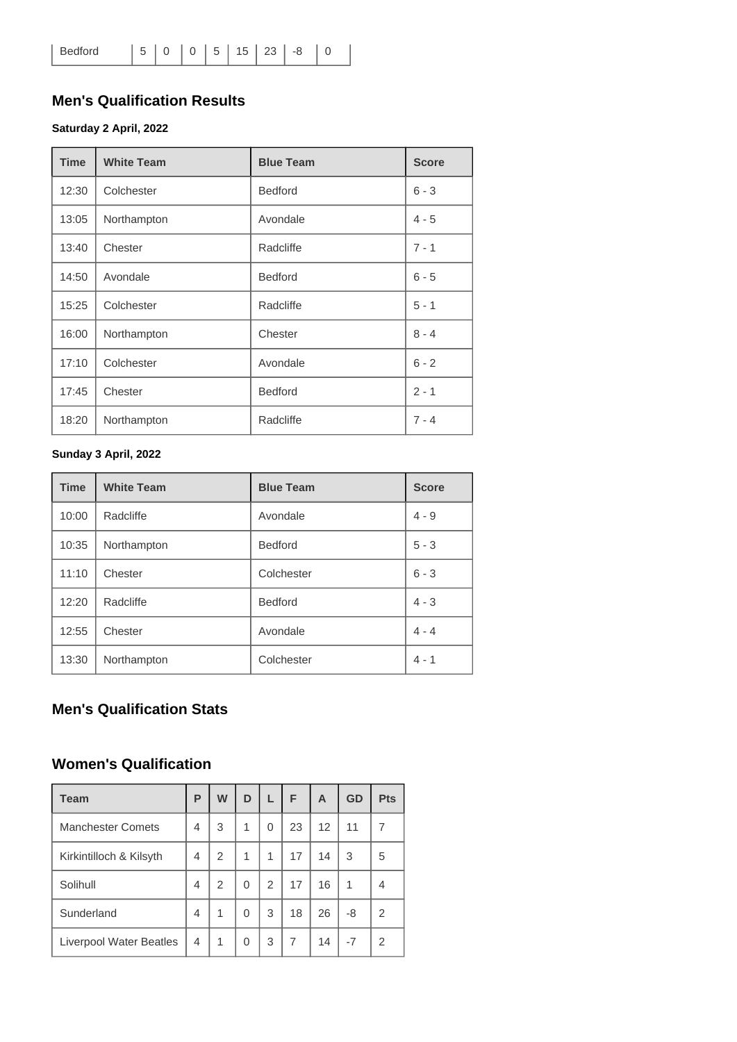# **Men's Qualification Results**

#### **Saturday 2 April, 2022**

| <b>Time</b> | <b>White Team</b> | <b>Blue Team</b> | <b>Score</b> |
|-------------|-------------------|------------------|--------------|
| 12:30       | Colchester        | <b>Bedford</b>   | $6 - 3$      |
| 13:05       | Northampton       | Avondale         | $4 - 5$      |
| 13:40       | Chester           | Radcliffe        | $7 - 1$      |
| 14:50       | Avondale          | <b>Bedford</b>   | $6 - 5$      |
| 15:25       | Colchester        | Radcliffe        | $5 - 1$      |
| 16:00       | Northampton       | Chester          | $8 - 4$      |
| 17:10       | Colchester        | Avondale         | $6 - 2$      |
| 17:45       | Chester           | <b>Bedford</b>   | $2 - 1$      |
| 18:20       | Northampton       | Radcliffe        | $7 - 4$      |

#### **Sunday 3 April, 2022**

| <b>Time</b> | <b>White Team</b> | <b>Blue Team</b> | <b>Score</b> |
|-------------|-------------------|------------------|--------------|
| 10:00       | Radcliffe         | Avondale         | $4 - 9$      |
| 10:35       | Northampton       | <b>Bedford</b>   | $5 - 3$      |
| 11:10       | Chester           | Colchester       | $6 - 3$      |
| 12:20       | Radcliffe         | <b>Bedford</b>   | $4 - 3$      |
| 12:55       | Chester           | Avondale         | $4 - 4$      |
| 13:30       | Northampton       | Colchester       | $4 - 1$      |

# **Men's Qualification Stats**

### **Women's Qualification**

| <b>Team</b>                    | P | W | D |                | F  | A  | <b>GD</b> | <b>Pts</b>     |
|--------------------------------|---|---|---|----------------|----|----|-----------|----------------|
| <b>Manchester Comets</b>       | 4 | 3 | 1 | 0              | 23 | 12 | 11        | 7              |
| Kirkintilloch & Kilsyth        | 4 | 2 | 1 | 1              | 17 | 14 | 3         | 5              |
| Solihull                       | 4 | 2 | 0 | $\mathfrak{p}$ | 17 | 16 | 1         | 4              |
| Sunderland                     | 4 | 1 | 0 | 3              | 18 | 26 | -8        | $\overline{2}$ |
| <b>Liverpool Water Beatles</b> | 4 | 1 | 0 | 3              | 7  | 14 | $-7$      | 2              |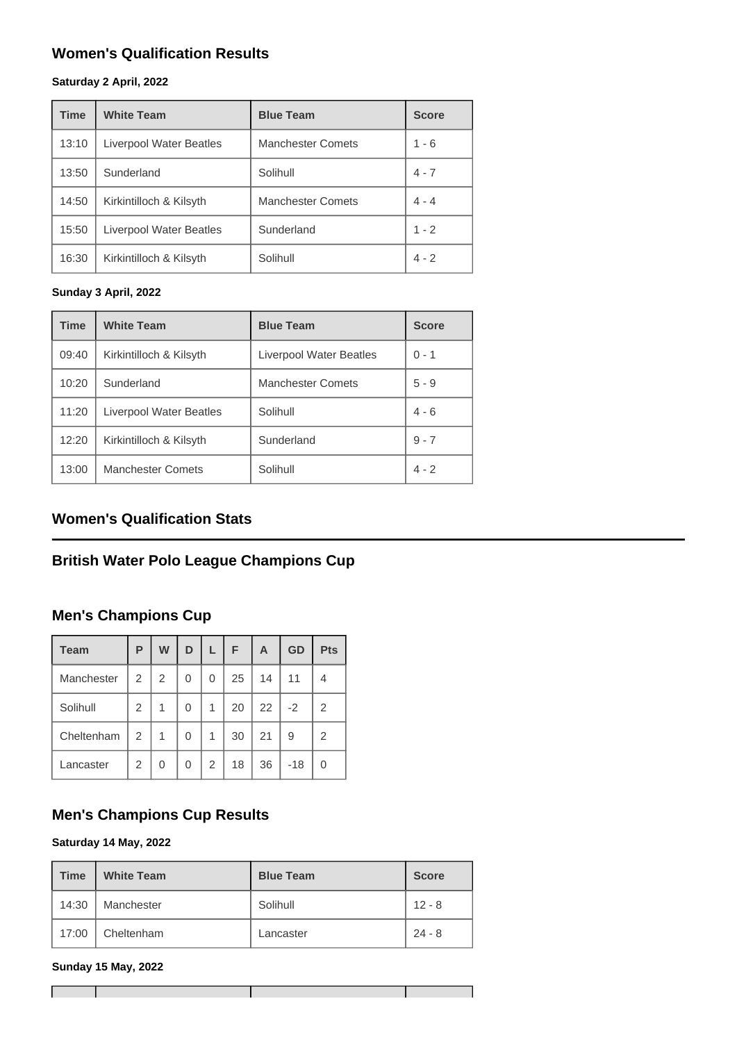# **Women's Qualification Results**

#### **Saturday 2 April, 2022**

| <b>Time</b> | <b>White Team</b>              | <b>Blue Team</b>         | <b>Score</b> |
|-------------|--------------------------------|--------------------------|--------------|
| 13:10       | <b>Liverpool Water Beatles</b> | <b>Manchester Comets</b> | $1 - 6$      |
| 13:50       | Sunderland                     | Solihull                 | $4 - 7$      |
| 14:50       | Kirkintilloch & Kilsyth        | <b>Manchester Comets</b> | $4 - 4$      |
| 15:50       | Liverpool Water Beatles        | Sunderland               | $1 - 2$      |
| 16:30       | Kirkintilloch & Kilsyth        | Solihull                 | $4 - 2$      |

#### **Sunday 3 April, 2022**

| <b>Time</b> | <b>White Team</b>        | <b>Blue Team</b>         | <b>Score</b> |
|-------------|--------------------------|--------------------------|--------------|
| 09:40       | Kirkintilloch & Kilsyth  | Liverpool Water Beatles  | $0 - 1$      |
| 10:20       | Sunderland               | <b>Manchester Comets</b> | $5 - 9$      |
| 11:20       | Liverpool Water Beatles  | Solihull                 | $4 - 6$      |
| 12:20       | Kirkintilloch & Kilsyth  | Sunderland               | $9 - 7$      |
| 13:00       | <b>Manchester Comets</b> | Solihull                 | $4 - 2$      |

# **Women's Qualification Stats**

# **British Water Polo League Champions Cup**

### **Men's Champions Cup**

| <b>Team</b> | P | W | D | L.             | F  | A  | GD    | <b>Pts</b>     |
|-------------|---|---|---|----------------|----|----|-------|----------------|
| Manchester  | 2 | 2 | 0 | 0              | 25 | 14 | 11    | 4              |
| Solihull    | 2 | 1 | 0 | 1              | 20 | 22 | $-2$  | $\overline{2}$ |
| Cheltenham  | 2 | 1 | 0 | 1              | 30 | 21 | 9     | 2              |
| Lancaster   | 2 | 0 | 0 | $\overline{2}$ | 18 | 36 | $-18$ | 0              |

# **Men's Champions Cup Results**

#### **Saturday 14 May, 2022**

| <b>Time</b> | <b>White Team</b> | <b>Blue Team</b> | <b>Score</b> |
|-------------|-------------------|------------------|--------------|
| 14:30       | Manchester        | Solihull         | $12 - 8$     |
| 17:00       | Cheltenham        | Lancaster        | $24 - 8$     |

#### **Sunday 15 May, 2022**

┓

**The Co**